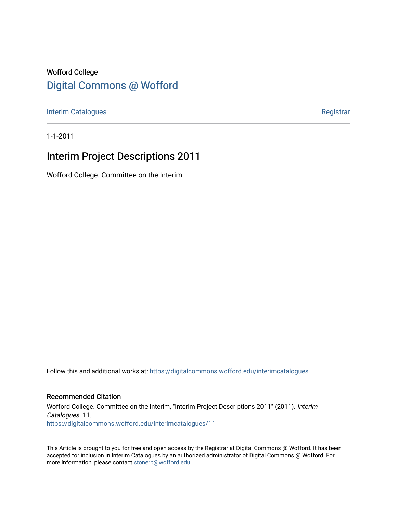# Wofford College [Digital Commons @ Wofford](https://digitalcommons.wofford.edu/)

[Interim Catalogues](https://digitalcommons.wofford.edu/interimcatalogues) **Registrar** Registrar

1-1-2011

# Interim Project Descriptions 2011

Wofford College. Committee on the Interim

Follow this and additional works at: [https://digitalcommons.wofford.edu/interimcatalogues](https://digitalcommons.wofford.edu/interimcatalogues?utm_source=digitalcommons.wofford.edu%2Finterimcatalogues%2F11&utm_medium=PDF&utm_campaign=PDFCoverPages)

# Recommended Citation

Wofford College. Committee on the Interim, "Interim Project Descriptions 2011" (2011). Interim Catalogues. 11. [https://digitalcommons.wofford.edu/interimcatalogues/11](https://digitalcommons.wofford.edu/interimcatalogues/11?utm_source=digitalcommons.wofford.edu%2Finterimcatalogues%2F11&utm_medium=PDF&utm_campaign=PDFCoverPages) 

This Article is brought to you for free and open access by the Registrar at Digital Commons @ Wofford. It has been accepted for inclusion in Interim Catalogues by an authorized administrator of Digital Commons @ Wofford. For more information, please contact [stonerp@wofford.edu.](mailto:stonerp@wofford.edu)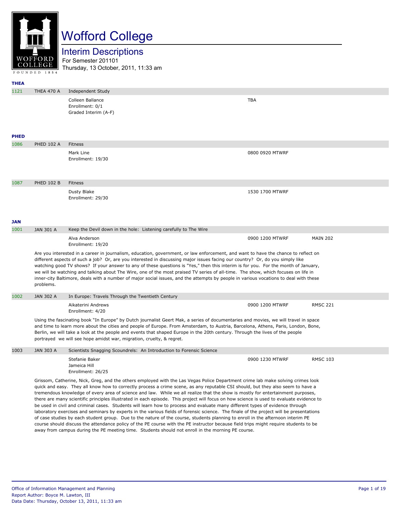

# Wofford College

Interim Descriptions

For Semester 201101 Thursday, 13 October, 2011, 11:33 am

| <b>THEA</b> |                                                                                                                                                                                                                                                                                                                                                                                                                                                                                                                                                                                                                                                                                                                                                                                                                                                                                                                                                                                                                                                                                                                                                                                                               |                                                                                                                                                                                                                                                                                                                                                                                                                                                                                  |                 |                 |
|-------------|---------------------------------------------------------------------------------------------------------------------------------------------------------------------------------------------------------------------------------------------------------------------------------------------------------------------------------------------------------------------------------------------------------------------------------------------------------------------------------------------------------------------------------------------------------------------------------------------------------------------------------------------------------------------------------------------------------------------------------------------------------------------------------------------------------------------------------------------------------------------------------------------------------------------------------------------------------------------------------------------------------------------------------------------------------------------------------------------------------------------------------------------------------------------------------------------------------------|----------------------------------------------------------------------------------------------------------------------------------------------------------------------------------------------------------------------------------------------------------------------------------------------------------------------------------------------------------------------------------------------------------------------------------------------------------------------------------|-----------------|-----------------|
| 1121        | <b>THEA 470 A</b>                                                                                                                                                                                                                                                                                                                                                                                                                                                                                                                                                                                                                                                                                                                                                                                                                                                                                                                                                                                                                                                                                                                                                                                             | <b>Independent Study</b>                                                                                                                                                                                                                                                                                                                                                                                                                                                         |                 |                 |
|             |                                                                                                                                                                                                                                                                                                                                                                                                                                                                                                                                                                                                                                                                                                                                                                                                                                                                                                                                                                                                                                                                                                                                                                                                               | Colleen Ballance<br>Enrollment: 0/1<br>Graded Interim (A-F)                                                                                                                                                                                                                                                                                                                                                                                                                      | <b>TBA</b>      |                 |
| <b>PHED</b> |                                                                                                                                                                                                                                                                                                                                                                                                                                                                                                                                                                                                                                                                                                                                                                                                                                                                                                                                                                                                                                                                                                                                                                                                               |                                                                                                                                                                                                                                                                                                                                                                                                                                                                                  |                 |                 |
| 1086        | <b>PHED 102 A</b>                                                                                                                                                                                                                                                                                                                                                                                                                                                                                                                                                                                                                                                                                                                                                                                                                                                                                                                                                                                                                                                                                                                                                                                             | Fitness                                                                                                                                                                                                                                                                                                                                                                                                                                                                          |                 |                 |
|             |                                                                                                                                                                                                                                                                                                                                                                                                                                                                                                                                                                                                                                                                                                                                                                                                                                                                                                                                                                                                                                                                                                                                                                                                               | Mark Line<br>Enrollment: 19/30                                                                                                                                                                                                                                                                                                                                                                                                                                                   | 0800 0920 MTWRF |                 |
| 1087        | <b>PHED 102 B</b>                                                                                                                                                                                                                                                                                                                                                                                                                                                                                                                                                                                                                                                                                                                                                                                                                                                                                                                                                                                                                                                                                                                                                                                             | Fitness                                                                                                                                                                                                                                                                                                                                                                                                                                                                          |                 |                 |
|             |                                                                                                                                                                                                                                                                                                                                                                                                                                                                                                                                                                                                                                                                                                                                                                                                                                                                                                                                                                                                                                                                                                                                                                                                               | Dusty Blake<br>Enrollment: 29/30                                                                                                                                                                                                                                                                                                                                                                                                                                                 | 1530 1700 MTWRF |                 |
| JAN         |                                                                                                                                                                                                                                                                                                                                                                                                                                                                                                                                                                                                                                                                                                                                                                                                                                                                                                                                                                                                                                                                                                                                                                                                               |                                                                                                                                                                                                                                                                                                                                                                                                                                                                                  |                 |                 |
| 1001        | JAN 301 A                                                                                                                                                                                                                                                                                                                                                                                                                                                                                                                                                                                                                                                                                                                                                                                                                                                                                                                                                                                                                                                                                                                                                                                                     | Keep the Devil down in the hole: Listening carefully to The Wire                                                                                                                                                                                                                                                                                                                                                                                                                 |                 |                 |
|             |                                                                                                                                                                                                                                                                                                                                                                                                                                                                                                                                                                                                                                                                                                                                                                                                                                                                                                                                                                                                                                                                                                                                                                                                               | Alva Anderson<br>Enrollment: 19/20                                                                                                                                                                                                                                                                                                                                                                                                                                               | 0900 1200 MTWRF | <b>MAIN 202</b> |
|             | Are you interested in a career in journalism, education, government, or law enforcement, and want to have the chance to reflect on<br>different aspects of such a job? Or, are you interested in discussing major issues facing our country? Or, do you simply like<br>watching good TV shows? If your answer to any of these guestions is "Yes," then this interim is for you. For the month of January,<br>we will be watching and talking about The Wire, one of the most praised TV series of all-time. The show, which focuses on life in<br>inner-city Baltimore, deals with a number of major social issues, and the attempts by people in various vocations to deal with these<br>problems.                                                                                                                                                                                                                                                                                                                                                                                                                                                                                                           |                                                                                                                                                                                                                                                                                                                                                                                                                                                                                  |                 |                 |
| 1002        | <b>JAN 302 A</b>                                                                                                                                                                                                                                                                                                                                                                                                                                                                                                                                                                                                                                                                                                                                                                                                                                                                                                                                                                                                                                                                                                                                                                                              | In Europe: Travels Through the Twentieth Century                                                                                                                                                                                                                                                                                                                                                                                                                                 |                 |                 |
|             |                                                                                                                                                                                                                                                                                                                                                                                                                                                                                                                                                                                                                                                                                                                                                                                                                                                                                                                                                                                                                                                                                                                                                                                                               | Aikaterini Andrews<br>Enrollment: 4/20                                                                                                                                                                                                                                                                                                                                                                                                                                           | 0900 1200 MTWRF | <b>RMSC 221</b> |
|             |                                                                                                                                                                                                                                                                                                                                                                                                                                                                                                                                                                                                                                                                                                                                                                                                                                                                                                                                                                                                                                                                                                                                                                                                               | Using the fascinating book "In Europe" by Dutch journalist Geert Mak, a series of documentaries and movies, we will travel in space<br>and time to learn more about the cities and people of Europe. From Amsterdam, to Austria, Barcelona, Athens, Paris, London, Bone,<br>Berlin, we will take a look at the people and events that shaped Europe in the 20th century. Through the lives of the people<br>portrayed we will see hope amidst war, migration, cruelty, & regret. |                 |                 |
| 1003        | <b>JAN 303 A</b>                                                                                                                                                                                                                                                                                                                                                                                                                                                                                                                                                                                                                                                                                                                                                                                                                                                                                                                                                                                                                                                                                                                                                                                              | Scientists Snagging Scoundrels: An Introduction to Forensic Science                                                                                                                                                                                                                                                                                                                                                                                                              |                 |                 |
|             |                                                                                                                                                                                                                                                                                                                                                                                                                                                                                                                                                                                                                                                                                                                                                                                                                                                                                                                                                                                                                                                                                                                                                                                                               | Stefanie Baker<br>Jameica Hill<br>Enrollment: 26/25                                                                                                                                                                                                                                                                                                                                                                                                                              | 0900 1230 MTWRF | <b>RMSC 103</b> |
|             | Grissom, Catherine, Nick, Greg, and the others employed with the Las Vegas Police Department crime lab make solving crimes look<br>quick and easy. They all know how to correctly process a crime scene, as any reputable CSI should, but they also seem to have a<br>tremendous knowledge of every area of science and law. While we all realize that the show is mostly for entertainment purposes,<br>there are many scientific principles illustrated in each episode. This project will focus on how science is used to evaluate evidence to<br>be used in civil and criminal cases. Students will learn how to process and evaluate many different types of evidence through<br>laboratory exercises and seminars by experts in the various fields of forensic science. The finale of the project will be presentations<br>of case studies by each student group. Due to the nature of the course, students planning to enroll in the afternoon interim PE<br>course should discuss the attendance policy of the PE course with the PE instructor because field trips might require students to be<br>away from campus during the PE meeting time. Students should not enroll in the morning PE course. |                                                                                                                                                                                                                                                                                                                                                                                                                                                                                  |                 |                 |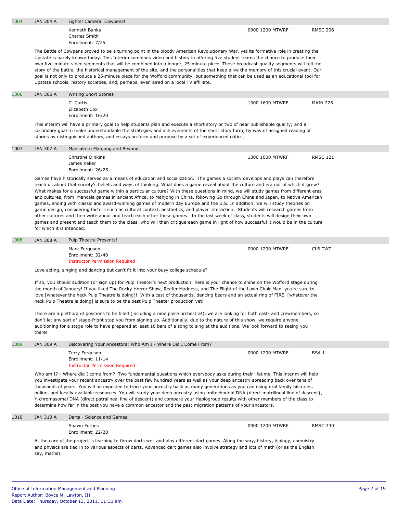| 1004 | <b>JAN 304 A</b>          | Lights! Camera! Cowpens!                                                                                                                                                                                                                                                                                                                                                                                                                                                                                                                                                                                                                                                                                                                                                                                                                                                                                                                                       |                 |                  |
|------|---------------------------|----------------------------------------------------------------------------------------------------------------------------------------------------------------------------------------------------------------------------------------------------------------------------------------------------------------------------------------------------------------------------------------------------------------------------------------------------------------------------------------------------------------------------------------------------------------------------------------------------------------------------------------------------------------------------------------------------------------------------------------------------------------------------------------------------------------------------------------------------------------------------------------------------------------------------------------------------------------|-----------------|------------------|
|      |                           | Kenneth Banks<br>Charles Smith                                                                                                                                                                                                                                                                                                                                                                                                                                                                                                                                                                                                                                                                                                                                                                                                                                                                                                                                 | 0900 1200 MTWRF | <b>RMSC 206</b>  |
|      |                           | Enrollment: 7/25                                                                                                                                                                                                                                                                                                                                                                                                                                                                                                                                                                                                                                                                                                                                                                                                                                                                                                                                               |                 |                  |
|      |                           | The Battle of Cowpens proved to be a turning point in the bloody American Revolutionary War, yet its formative role in creating the<br>Upstate is barely known today. This Interim combines video and history in offering five student teams the chance to produce their<br>own five-minute video segments that will be combined into a longer, 25-minute piece. These broadcast-quality segments will tell the<br>story of the battle, the historical management of the site, and the personalities that keep alive the memory of this crucial event. Our<br>goal is not only to produce a 25-minute piece for the Wofford community, but something that can be used as an educational tool for<br>Upstate schools, history societies, and, perhaps, even aired on a local TV affiliate.                                                                                                                                                                      |                 |                  |
| 1006 | <b>JAN 306 A</b>          | <b>Writing Short Stories</b>                                                                                                                                                                                                                                                                                                                                                                                                                                                                                                                                                                                                                                                                                                                                                                                                                                                                                                                                   |                 |                  |
|      |                           | C. Curtis<br>Elizabeth Cox<br>Enrollment: 16/20                                                                                                                                                                                                                                                                                                                                                                                                                                                                                                                                                                                                                                                                                                                                                                                                                                                                                                                | 1300 1600 MTWRF | <b>MAIN 226</b>  |
|      |                           | This interim will have a primary goal to help students plan and execute a short story or two of near publishable quality; and a<br>secondary goal to make understandable the strategies and achievements of the short story form, by way of assigned reading of<br>stories by distinguished authors, and essays on form and purpose by a set of experienced critics.                                                                                                                                                                                                                                                                                                                                                                                                                                                                                                                                                                                           |                 |                  |
| 1007 | <b>JAN 307 A</b>          | Mancala to Mahjong and Beyond                                                                                                                                                                                                                                                                                                                                                                                                                                                                                                                                                                                                                                                                                                                                                                                                                                                                                                                                  |                 |                  |
|      |                           | Christine Dinkins<br>James Keller<br>Enrollment: 26/25                                                                                                                                                                                                                                                                                                                                                                                                                                                                                                                                                                                                                                                                                                                                                                                                                                                                                                         | 1300 1600 MTWRF | <b>RMSC 121</b>  |
|      |                           | Games have historically served as a means of education and socialization. The games a society develops and plays can therefore                                                                                                                                                                                                                                                                                                                                                                                                                                                                                                                                                                                                                                                                                                                                                                                                                                 |                 |                  |
|      | for which it is intended. | teach us about that society's beliefs and ways of thinking. What does a game reveal about the culture and era out of which it grew?<br>What makes for a successful game within a particular culture? With these questions in mind, we will study games from different eras<br>and cultures, from Mancala games in ancient Africa, to Mahjong in China, following Go through China and Japan, to Native American<br>games, ending with classic and award-winning games of modern day Europe and the U.S. In addition, we will study theories on<br>game design, considering factors such as cultural context, aesthetics, and player interaction. Students will research games from<br>other cultures and then write about and teach each other these games. In the last week of class, students will design their own<br>games and present and teach them to the class, who will then critique each game in light of how successful it would be in the culture |                 |                  |
| 1008 | <b>JAN 308 A</b>          | Pulp Theatre Presents!                                                                                                                                                                                                                                                                                                                                                                                                                                                                                                                                                                                                                                                                                                                                                                                                                                                                                                                                         |                 |                  |
|      |                           | Mark Ferguson<br>Enrollment: 32/40<br><b>Instructor Permission Required</b>                                                                                                                                                                                                                                                                                                                                                                                                                                                                                                                                                                                                                                                                                                                                                                                                                                                                                    | 0900 1200 MTWRF | <b>CLB TWT</b>   |
|      |                           | Love acting, singing and dancing but can't fit it into your busy college schedule?                                                                                                                                                                                                                                                                                                                                                                                                                                                                                                                                                                                                                                                                                                                                                                                                                                                                             |                 |                  |
|      |                           | If so, you should audition (or sign up) for Pulp Theater's next production: here is your chance to shine on the Wofford stage during<br>the month of January! If you liked The Rocky Horror Show, Reefer Madness, and The Flight of the Lawn Chair Man, you're sure to<br>love [whatever the heck Pulp Theatre is doing]! With a cast of thousands, dancing bears and an actual ring of FIRE [whatever the<br>heck Pulp Theatre is doing] is sure to be the best Pulp Theater production yet!                                                                                                                                                                                                                                                                                                                                                                                                                                                                  |                 |                  |
|      | there!                    | There are a plethora of positions to be filled (including a nine piece orchestra!), we are looking for both cast- and crewmembers, so<br>don't let any sort of stage-fright stop you from signing up. Additionally, due to the nature of this show, we require anyone<br>auditioning for a stage role to have prepared at least 16 bars of a song to sing at the auditions. We look forward to seeing you                                                                                                                                                                                                                                                                                                                                                                                                                                                                                                                                                      |                 |                  |
| 1009 | <b>JAN 309 A</b>          | Discovering Your Ancestors: Who Am I - Where Did I Come From?                                                                                                                                                                                                                                                                                                                                                                                                                                                                                                                                                                                                                                                                                                                                                                                                                                                                                                  |                 |                  |
|      |                           | Terry Ferguson<br>Enrollment: 11/14<br><b>Instructor Permission Required</b>                                                                                                                                                                                                                                                                                                                                                                                                                                                                                                                                                                                                                                                                                                                                                                                                                                                                                   | 0900 1200 MTWRF | BSA <sub>1</sub> |
|      |                           | Who am I? - Where did I come from? Two fundamental questions which everybody asks during their lifetime. This interim will help<br>you investigate your recent ancestry over the past few hundred years as well as your deep ancestry spreading back over tens of<br>thousands of years. You will be expected to trace your ancestry back as many generations as you can using oral family histories,<br>online, and locally available resources. You will study your deep ancestry using mitochodrial DNA (direct matrilineal line of descent},<br>Y-chromasomal DNA (direct patralineal line of descent) and compare your Haplogroup results with other members of the class to<br>determine how far in the past you have a common ancestor and the past migration patterns of your ancestors.                                                                                                                                                               |                 |                  |
| 1010 | <b>JAN 310 A</b>          | Darts - Science and Games                                                                                                                                                                                                                                                                                                                                                                                                                                                                                                                                                                                                                                                                                                                                                                                                                                                                                                                                      |                 |                  |
|      |                           | Shawn Forbes<br>Enrollment: 22/20                                                                                                                                                                                                                                                                                                                                                                                                                                                                                                                                                                                                                                                                                                                                                                                                                                                                                                                              | 0900 1200 MTWRF | <b>RMSC 330</b>  |
|      | say, maths).              | At the core of the project is learning to throw darts well and play different dart games. Along the way, history, biology, chemistry<br>and physics are tied in to various aspects of darts. Advanced dart games also involve strategy and lots of math (or as the English                                                                                                                                                                                                                                                                                                                                                                                                                                                                                                                                                                                                                                                                                     |                 |                  |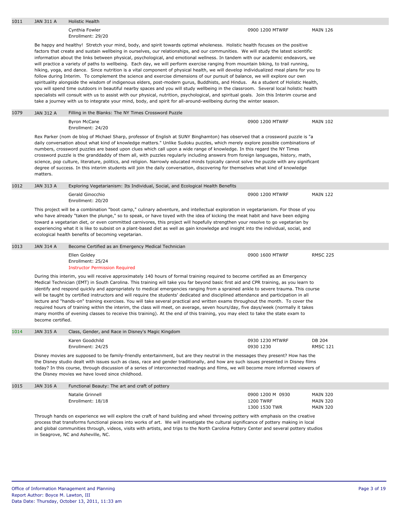| 1011 | JAN 311 A         | <b>Holistic Health</b>                                                                                                                                                                                                                                                                                                                                                                                                                                                                                                                                                                                                                                                                                                                                                                                                                                                                                                                                                                                                                                                                                                                                                                                                                                                                                                                                               |                                                       |                                                       |
|------|-------------------|----------------------------------------------------------------------------------------------------------------------------------------------------------------------------------------------------------------------------------------------------------------------------------------------------------------------------------------------------------------------------------------------------------------------------------------------------------------------------------------------------------------------------------------------------------------------------------------------------------------------------------------------------------------------------------------------------------------------------------------------------------------------------------------------------------------------------------------------------------------------------------------------------------------------------------------------------------------------------------------------------------------------------------------------------------------------------------------------------------------------------------------------------------------------------------------------------------------------------------------------------------------------------------------------------------------------------------------------------------------------|-------------------------------------------------------|-------------------------------------------------------|
|      |                   | Cynthia Fowler<br>Enrollment: 29/20                                                                                                                                                                                                                                                                                                                                                                                                                                                                                                                                                                                                                                                                                                                                                                                                                                                                                                                                                                                                                                                                                                                                                                                                                                                                                                                                  | 0900 1200 MTWRF                                       | <b>MAIN 126</b>                                       |
|      |                   | Be happy and healthy! Stretch your mind, body, and spirit towards optimal wholeness. Holistic health focuses on the positive<br>factors that create and sustain wellbeing in ourselves, our relationships, and our communities. We will study the latest scientific<br>information about the links between physical, psychological, and emotional wellness. In tandem with our academic endeavors, we<br>will practice a variety of paths to wellbeing. Each day, we will perform exercise ranging from mountain biking, to trail running,<br>hiking, yoga, and dance. Since nutrition is a vital component of physical health, we will develop individualized meal plans for you to<br>follow during Interim. To complement the science and exercise dimensions of our pursuit of balance, we will explore our own<br>spirituality alongside the wisdom of indigenous elders, post-modern gurus, Buddhists, and Hindus. As a student of Holistic Health,<br>you will spend time outdoors in beautiful nearby spaces and you will study wellbeing in the classroom. Several local holistic health<br>specialists will consult with us to assist with our physical, nutrition, psychological, and spiritual goals. Join this Interim course and<br>take a journey with us to integrate your mind, body, and spirit for all-around-wellbeing during the winter season. |                                                       |                                                       |
| 1079 | <b>JAN 312 A</b>  | Filling in the Blanks: The NY Times Crossword Puzzle                                                                                                                                                                                                                                                                                                                                                                                                                                                                                                                                                                                                                                                                                                                                                                                                                                                                                                                                                                                                                                                                                                                                                                                                                                                                                                                 |                                                       |                                                       |
|      |                   | <b>Byron McCane</b><br>Enrollment: 24/20                                                                                                                                                                                                                                                                                                                                                                                                                                                                                                                                                                                                                                                                                                                                                                                                                                                                                                                                                                                                                                                                                                                                                                                                                                                                                                                             | 0900 1200 MTWRF                                       | <b>MAIN 102</b>                                       |
|      | matters.          | Rex Parker (nom de blog of Michael Sharp, professor of English at SUNY Binghamton) has observed that a crossword puzzle is "a<br>daily conversation about what kind of knowledge matters." Unlike Sudoku puzzles, which merely explore possible combinations of<br>numbers, crossword puzzles are based upon clues which call upon a wide range of knowledge. In this regard the NY Times<br>crossword puzzle is the granddaddy of them all, with puzzles regularly including answers from foreign languages, history, math,<br>science, pop culture, literature, politics, and religion. Narrowly educated minds typically cannot solve the puzzle with any significant<br>degree of success. In this interim students will join the daily conversation, discovering for themselves what kind of knowledge                                                                                                                                                                                                                                                                                                                                                                                                                                                                                                                                                          |                                                       |                                                       |
| 1012 | <b>JAN 313 A</b>  | Exploring Vegetarianism: Its Individual, Social, and Ecological Health Benefits                                                                                                                                                                                                                                                                                                                                                                                                                                                                                                                                                                                                                                                                                                                                                                                                                                                                                                                                                                                                                                                                                                                                                                                                                                                                                      |                                                       |                                                       |
|      |                   | Gerald Ginocchio<br>Enrollment: 20/20                                                                                                                                                                                                                                                                                                                                                                                                                                                                                                                                                                                                                                                                                                                                                                                                                                                                                                                                                                                                                                                                                                                                                                                                                                                                                                                                | 0900 1200 MTWRF                                       | <b>MAIN 122</b>                                       |
|      |                   | This project will be a combination "boot camp," culinary adventure, and intellectual exploration in vegetarianism. For those of you<br>who have already "taken the plunge," so to speak, or have toyed with the idea of kicking the meat habit and have been edging<br>toward a vegetarian diet, or even committed carnivores, this project will hopefully strengthen your resolve to go vegetarian by<br>experiencing what it is like to subsist on a plant-based diet as well as gain knowledge and insight into the individual, social, and<br>ecological health benefits of becoming vegetarian.                                                                                                                                                                                                                                                                                                                                                                                                                                                                                                                                                                                                                                                                                                                                                                 |                                                       |                                                       |
| 1013 | <b>JAN 314 A</b>  | Become Certified as an Emergency Medical Technician                                                                                                                                                                                                                                                                                                                                                                                                                                                                                                                                                                                                                                                                                                                                                                                                                                                                                                                                                                                                                                                                                                                                                                                                                                                                                                                  |                                                       |                                                       |
|      |                   | Ellen Goldey<br>Enrollment: 25/24<br><b>Instructor Permission Required</b>                                                                                                                                                                                                                                                                                                                                                                                                                                                                                                                                                                                                                                                                                                                                                                                                                                                                                                                                                                                                                                                                                                                                                                                                                                                                                           | 0900 1600 MTWRF                                       | <b>RMSC 225</b>                                       |
|      | become certified. | During this interim, you will receive approximately 140 hours of formal training required to become certified as an Emergency<br>Medical Technician (EMT) in South Carolina. This training will take you far beyond basic first aid and CPR training, as you learn to<br>identify and respond quickly and appropriately to medical emergencies ranging from a sprained ankle to severe trauma. This course<br>will be taught by certified instructors and will require the students' dedicated and disciplined attendance and participation in all<br>lecture and "hands-on" training exercises. You will take several practical and written exams throughout the month. To cover the<br>required hours of training within the interim, the class will meet, on average, seven hours/day, five days/week (normally it takes<br>many months of evening classes to receive this training). At the end of this training, you may elect to take the state exam to                                                                                                                                                                                                                                                                                                                                                                                                        |                                                       |                                                       |
| 1014 | <b>JAN 315 A</b>  | Class, Gender, and Race in Disney's Magic Kingdom                                                                                                                                                                                                                                                                                                                                                                                                                                                                                                                                                                                                                                                                                                                                                                                                                                                                                                                                                                                                                                                                                                                                                                                                                                                                                                                    |                                                       |                                                       |
|      |                   | Karen Goodchild<br>Enrollment: 24/25                                                                                                                                                                                                                                                                                                                                                                                                                                                                                                                                                                                                                                                                                                                                                                                                                                                                                                                                                                                                                                                                                                                                                                                                                                                                                                                                 | 0930 1230 MTWRF<br>0930 1230                          | DB 204<br><b>RMSC 121</b>                             |
|      |                   | Disney movies are supposed to be family-friendly entertainment, but are they neutral in the messages they present? How has the<br>the Disney studio dealt with issues such as class, race and gender traditionally, and how are such issues presented in Disney films<br>today? In this course, through discussion of a series of interconnected readings and films, we will become more informed viewers of<br>the Disney movies we have loved since childhood.                                                                                                                                                                                                                                                                                                                                                                                                                                                                                                                                                                                                                                                                                                                                                                                                                                                                                                     |                                                       |                                                       |
| 1015 | <b>JAN 316 A</b>  | Functional Beauty: The art and craft of pottery                                                                                                                                                                                                                                                                                                                                                                                                                                                                                                                                                                                                                                                                                                                                                                                                                                                                                                                                                                                                                                                                                                                                                                                                                                                                                                                      |                                                       |                                                       |
|      |                   | Natalie Grinnell<br>Enrollment: 18/18                                                                                                                                                                                                                                                                                                                                                                                                                                                                                                                                                                                                                                                                                                                                                                                                                                                                                                                                                                                                                                                                                                                                                                                                                                                                                                                                | 0900 1200 M 0930<br><b>1200 TWRF</b><br>1300 1530 TWR | <b>MAIN 320</b><br><b>MAIN 320</b><br><b>MAIN 320</b> |
|      |                   | Through hands on experience we will explore the craft of hand building and wheel throwing pottery with emphasis on the creative<br>process that transforms functional pieces into works of art. We will investigate the cultural significance of pottery making in local<br>and global communities through, videos, visits with artists, and trips to the North Carolina Pottery Center and several pottery studios<br>in Seagrove, NC and Asheville, NC.                                                                                                                                                                                                                                                                                                                                                                                                                                                                                                                                                                                                                                                                                                                                                                                                                                                                                                            |                                                       |                                                       |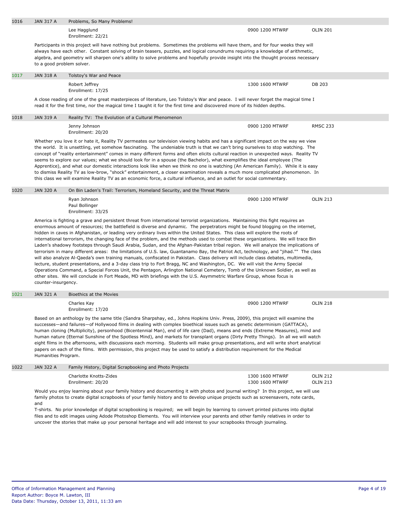| 1016<br><b>JAN 317 A</b><br>Problems, So Many Problems!                                                                                                                                                                                                                                                                                                                                                                                                                                                                                                                                                                                                                                                                                                                                                                                                                                                                                                                                                                                                                                                                                                                                                                                                                                                                                                                     |                                                                           |                                    |                                                                                                                                                                                                                                                                                                                                                                                                                                                                                                                                                                                                                                                                                                                                                                                                                                                                                                                                                                                                                                                                                                                                                                                                                                                                                                                                                                                                                                                                                                                                                                                                                                                                                                                                                                                                                                                                                                                                                                                                                                      |  |
|-----------------------------------------------------------------------------------------------------------------------------------------------------------------------------------------------------------------------------------------------------------------------------------------------------------------------------------------------------------------------------------------------------------------------------------------------------------------------------------------------------------------------------------------------------------------------------------------------------------------------------------------------------------------------------------------------------------------------------------------------------------------------------------------------------------------------------------------------------------------------------------------------------------------------------------------------------------------------------------------------------------------------------------------------------------------------------------------------------------------------------------------------------------------------------------------------------------------------------------------------------------------------------------------------------------------------------------------------------------------------------|---------------------------------------------------------------------------|------------------------------------|--------------------------------------------------------------------------------------------------------------------------------------------------------------------------------------------------------------------------------------------------------------------------------------------------------------------------------------------------------------------------------------------------------------------------------------------------------------------------------------------------------------------------------------------------------------------------------------------------------------------------------------------------------------------------------------------------------------------------------------------------------------------------------------------------------------------------------------------------------------------------------------------------------------------------------------------------------------------------------------------------------------------------------------------------------------------------------------------------------------------------------------------------------------------------------------------------------------------------------------------------------------------------------------------------------------------------------------------------------------------------------------------------------------------------------------------------------------------------------------------------------------------------------------------------------------------------------------------------------------------------------------------------------------------------------------------------------------------------------------------------------------------------------------------------------------------------------------------------------------------------------------------------------------------------------------------------------------------------------------------------------------------------------------|--|
|                                                                                                                                                                                                                                                                                                                                                                                                                                                                                                                                                                                                                                                                                                                                                                                                                                                                                                                                                                                                                                                                                                                                                                                                                                                                                                                                                                             | Lee Hagglund<br>Enrollment: 22/21                                         | 0900 1200 MTWRF                    | <b>OLIN 201</b>                                                                                                                                                                                                                                                                                                                                                                                                                                                                                                                                                                                                                                                                                                                                                                                                                                                                                                                                                                                                                                                                                                                                                                                                                                                                                                                                                                                                                                                                                                                                                                                                                                                                                                                                                                                                                                                                                                                                                                                                                      |  |
| Participants in this project will have nothing but problems. Sometimes the problems will have them, and for four weeks they will<br>always have each other. Constant solving of brain teasers, puzzles, and logical conundrums requiring a knowledge of arithmetic,<br>algebra, and geometry will sharpen one's ability to solve problems and hopefully provide insight into the thought process necessary<br>to a good problem solver.                                                                                                                                                                                                                                                                                                                                                                                                                                                                                                                                                                                                                                                                                                                                                                                                                                                                                                                                     |                                                                           |                                    |                                                                                                                                                                                                                                                                                                                                                                                                                                                                                                                                                                                                                                                                                                                                                                                                                                                                                                                                                                                                                                                                                                                                                                                                                                                                                                                                                                                                                                                                                                                                                                                                                                                                                                                                                                                                                                                                                                                                                                                                                                      |  |
| <b>JAN 318 A</b>                                                                                                                                                                                                                                                                                                                                                                                                                                                                                                                                                                                                                                                                                                                                                                                                                                                                                                                                                                                                                                                                                                                                                                                                                                                                                                                                                            | Tolstoy's War and Peace                                                   |                                    |                                                                                                                                                                                                                                                                                                                                                                                                                                                                                                                                                                                                                                                                                                                                                                                                                                                                                                                                                                                                                                                                                                                                                                                                                                                                                                                                                                                                                                                                                                                                                                                                                                                                                                                                                                                                                                                                                                                                                                                                                                      |  |
|                                                                                                                                                                                                                                                                                                                                                                                                                                                                                                                                                                                                                                                                                                                                                                                                                                                                                                                                                                                                                                                                                                                                                                                                                                                                                                                                                                             | Robert Jeffrey<br>Enrollment: 17/25                                       | 1300 1600 MTWRF                    | DB 203                                                                                                                                                                                                                                                                                                                                                                                                                                                                                                                                                                                                                                                                                                                                                                                                                                                                                                                                                                                                                                                                                                                                                                                                                                                                                                                                                                                                                                                                                                                                                                                                                                                                                                                                                                                                                                                                                                                                                                                                                               |  |
|                                                                                                                                                                                                                                                                                                                                                                                                                                                                                                                                                                                                                                                                                                                                                                                                                                                                                                                                                                                                                                                                                                                                                                                                                                                                                                                                                                             |                                                                           |                                    |                                                                                                                                                                                                                                                                                                                                                                                                                                                                                                                                                                                                                                                                                                                                                                                                                                                                                                                                                                                                                                                                                                                                                                                                                                                                                                                                                                                                                                                                                                                                                                                                                                                                                                                                                                                                                                                                                                                                                                                                                                      |  |
| <b>JAN 319 A</b>                                                                                                                                                                                                                                                                                                                                                                                                                                                                                                                                                                                                                                                                                                                                                                                                                                                                                                                                                                                                                                                                                                                                                                                                                                                                                                                                                            | Reality TV: The Evolution of a Cultural Phenomenon                        |                                    |                                                                                                                                                                                                                                                                                                                                                                                                                                                                                                                                                                                                                                                                                                                                                                                                                                                                                                                                                                                                                                                                                                                                                                                                                                                                                                                                                                                                                                                                                                                                                                                                                                                                                                                                                                                                                                                                                                                                                                                                                                      |  |
|                                                                                                                                                                                                                                                                                                                                                                                                                                                                                                                                                                                                                                                                                                                                                                                                                                                                                                                                                                                                                                                                                                                                                                                                                                                                                                                                                                             | Jenny Johnson<br>Enrollment: 20/20                                        | 0900 1200 MTWRF                    | <b>RMSC 233</b>                                                                                                                                                                                                                                                                                                                                                                                                                                                                                                                                                                                                                                                                                                                                                                                                                                                                                                                                                                                                                                                                                                                                                                                                                                                                                                                                                                                                                                                                                                                                                                                                                                                                                                                                                                                                                                                                                                                                                                                                                      |  |
|                                                                                                                                                                                                                                                                                                                                                                                                                                                                                                                                                                                                                                                                                                                                                                                                                                                                                                                                                                                                                                                                                                                                                                                                                                                                                                                                                                             |                                                                           |                                    |                                                                                                                                                                                                                                                                                                                                                                                                                                                                                                                                                                                                                                                                                                                                                                                                                                                                                                                                                                                                                                                                                                                                                                                                                                                                                                                                                                                                                                                                                                                                                                                                                                                                                                                                                                                                                                                                                                                                                                                                                                      |  |
| <b>JAN 320 A</b>                                                                                                                                                                                                                                                                                                                                                                                                                                                                                                                                                                                                                                                                                                                                                                                                                                                                                                                                                                                                                                                                                                                                                                                                                                                                                                                                                            | On Bin Laden's Trail: Terrorism, Homeland Security, and the Threat Matrix |                                    |                                                                                                                                                                                                                                                                                                                                                                                                                                                                                                                                                                                                                                                                                                                                                                                                                                                                                                                                                                                                                                                                                                                                                                                                                                                                                                                                                                                                                                                                                                                                                                                                                                                                                                                                                                                                                                                                                                                                                                                                                                      |  |
|                                                                                                                                                                                                                                                                                                                                                                                                                                                                                                                                                                                                                                                                                                                                                                                                                                                                                                                                                                                                                                                                                                                                                                                                                                                                                                                                                                             | Ryan Johnson<br>Paul Bollinger<br>Enrollment: 33/25                       | 0900 1200 MTWRF                    | <b>OLIN 213</b>                                                                                                                                                                                                                                                                                                                                                                                                                                                                                                                                                                                                                                                                                                                                                                                                                                                                                                                                                                                                                                                                                                                                                                                                                                                                                                                                                                                                                                                                                                                                                                                                                                                                                                                                                                                                                                                                                                                                                                                                                      |  |
| America is fighting a grave and persistent threat from international terrorist organizations. Maintaining this fight requires an<br>enormous amount of resources; the battlefield is diverse and dynamic. The perpetrators might be found blogging on the internet,<br>hidden in caves in Afghanistan, or leading very ordinary lives within the United States. This class will explore the roots of<br>international terrorism, the changing face of the problem, and the methods used to combat these organizations. We will trace Bin<br>Laden's shadowy footsteps through Saudi Arabia, Sudan, and the Afghan-Pakistan tribal region. We will analyze the implications of<br>terrorism in many different areas: the limitations of U.S. law, Guantanamo Bay, the Patriot Act, technology, and "jihad."" The class<br>will also analyze Al-Qaeda's own training manuals, confiscated in Pakistan. Class delivery will include class debates, multimedia,<br>lecture, student presentations, and a 3-day class trip to Fort Bragg, NC and Washington, DC. We will visit the Army Special<br>Operations Command, a Special Forces Unit, the Pentagon, Arlington National Cemetery, Tomb of the Unknown Soldier, as well as<br>other sites. We will conclude in Fort Meade, MD with briefings with the U.S. Asymmetric Warfare Group, whose focus is<br>counter-insurgency. |                                                                           |                                    |                                                                                                                                                                                                                                                                                                                                                                                                                                                                                                                                                                                                                                                                                                                                                                                                                                                                                                                                                                                                                                                                                                                                                                                                                                                                                                                                                                                                                                                                                                                                                                                                                                                                                                                                                                                                                                                                                                                                                                                                                                      |  |
| <b>JAN 321 A</b>                                                                                                                                                                                                                                                                                                                                                                                                                                                                                                                                                                                                                                                                                                                                                                                                                                                                                                                                                                                                                                                                                                                                                                                                                                                                                                                                                            | Bioethics at the Movies                                                   |                                    |                                                                                                                                                                                                                                                                                                                                                                                                                                                                                                                                                                                                                                                                                                                                                                                                                                                                                                                                                                                                                                                                                                                                                                                                                                                                                                                                                                                                                                                                                                                                                                                                                                                                                                                                                                                                                                                                                                                                                                                                                                      |  |
|                                                                                                                                                                                                                                                                                                                                                                                                                                                                                                                                                                                                                                                                                                                                                                                                                                                                                                                                                                                                                                                                                                                                                                                                                                                                                                                                                                             | Charles Kay<br>Enrollment: 17/20                                          | 0900 1200 MTWRF                    | <b>OLIN 218</b>                                                                                                                                                                                                                                                                                                                                                                                                                                                                                                                                                                                                                                                                                                                                                                                                                                                                                                                                                                                                                                                                                                                                                                                                                                                                                                                                                                                                                                                                                                                                                                                                                                                                                                                                                                                                                                                                                                                                                                                                                      |  |
|                                                                                                                                                                                                                                                                                                                                                                                                                                                                                                                                                                                                                                                                                                                                                                                                                                                                                                                                                                                                                                                                                                                                                                                                                                                                                                                                                                             |                                                                           |                                    |                                                                                                                                                                                                                                                                                                                                                                                                                                                                                                                                                                                                                                                                                                                                                                                                                                                                                                                                                                                                                                                                                                                                                                                                                                                                                                                                                                                                                                                                                                                                                                                                                                                                                                                                                                                                                                                                                                                                                                                                                                      |  |
| <b>JAN 322 A</b>                                                                                                                                                                                                                                                                                                                                                                                                                                                                                                                                                                                                                                                                                                                                                                                                                                                                                                                                                                                                                                                                                                                                                                                                                                                                                                                                                            | Family History, Digital Scrapbooking and Photo Projects                   |                                    |                                                                                                                                                                                                                                                                                                                                                                                                                                                                                                                                                                                                                                                                                                                                                                                                                                                                                                                                                                                                                                                                                                                                                                                                                                                                                                                                                                                                                                                                                                                                                                                                                                                                                                                                                                                                                                                                                                                                                                                                                                      |  |
|                                                                                                                                                                                                                                                                                                                                                                                                                                                                                                                                                                                                                                                                                                                                                                                                                                                                                                                                                                                                                                                                                                                                                                                                                                                                                                                                                                             | Charlotte Knotts-Zides<br>Enrollment: 20/20                               | 1300 1600 MTWRF<br>1300 1600 MTWRF | <b>OLIN 212</b><br><b>OLIN 213</b>                                                                                                                                                                                                                                                                                                                                                                                                                                                                                                                                                                                                                                                                                                                                                                                                                                                                                                                                                                                                                                                                                                                                                                                                                                                                                                                                                                                                                                                                                                                                                                                                                                                                                                                                                                                                                                                                                                                                                                                                   |  |
| Would you enjoy learning about your family history and documenting it with photos and journal writing? In this project, we will use<br>family photos to create digital scrapbooks of your family history and to develop unique projects such as screensavers, note cards,<br>and<br>T-shirts. No prior knowledge of digital scrapbooking is required; we will begin by learning to convert printed pictures into digital<br>files and to edit images using Adode Photoshop Elements. You will interview your parents and other family relatives in order to<br>uncover the stories that make up your personal heritage and will add interest to your scrapbooks through journaling.                                                                                                                                                                                                                                                                                                                                                                                                                                                                                                                                                                                                                                                                                         |                                                                           |                                    |                                                                                                                                                                                                                                                                                                                                                                                                                                                                                                                                                                                                                                                                                                                                                                                                                                                                                                                                                                                                                                                                                                                                                                                                                                                                                                                                                                                                                                                                                                                                                                                                                                                                                                                                                                                                                                                                                                                                                                                                                                      |  |
|                                                                                                                                                                                                                                                                                                                                                                                                                                                                                                                                                                                                                                                                                                                                                                                                                                                                                                                                                                                                                                                                                                                                                                                                                                                                                                                                                                             |                                                                           | Humanities Program.                | A close reading of one of the great masterpieces of literature, Leo Tolstoy's War and peace. I will never forget the magical time I<br>read it for the first time, nor the magical time I taught it for the first time and discovered more of its hidden depths.<br>Whether you love it or hate it, Reality TV permeates our television viewing habits and has a significant impact on the way we view<br>the world. It is unsettling, yet somehow fascinating. The undeniable truth is that we can't bring ourselves to stop watching. The<br>concept of "reality entertainment" comes in many different forms and often elicits cultural reaction in unexpected ways. Reality TV<br>seems to explore our values; what we should look for in a spouse (the Bachelor), what exemplifies the ideal employee (The<br>Apprentice), and what our domestic interactions look like when we think no one is watching (An American Family). While it is easy<br>to dismiss Reality TV as low-brow, "shock" entertainment, a closer examination reveals a much more complicated phenomenon. In<br>this class we will examine Reality TV as an economic force, a cultural influence, and an outlet for social commentary.<br>Based on an anthology by the same title (Sandra Sharpshay, ed., Johns Hopkins Univ. Press, 2009), this project will examine the<br>successes—and failures—of Hollywood films in dealing with complex bioethical issues such as genetic determinism (GATTACA),<br>human cloning (Multiplicity), personhood (Bicentennial Man), end of life care (Dad), means and ends (Extreme Measures), mind and<br>human nature (Eternal Sunshine of the Spotless Mind), and markets for transplant organs (Dirty Pretty Things). In all we will watch<br>eight films in the afternoons, with discussions each morning. Students will make group presentations, and will write short analytical<br>papers on each of the films. With permission, this project may be used to satisfy a distribution requirement for the Medical |  |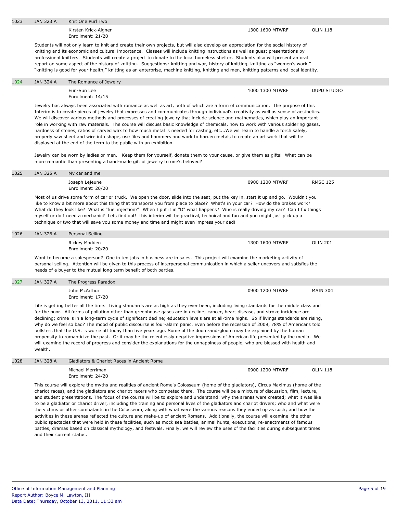| 1023 | <b>JAN 323 A</b>          | Knit One Purl Two                                                                                                                                                                                                                                                                                                                                                                                                                                                                                                                                                                                                                                                                                                                                                                                                                                                                                                                                                                                                                                                                                                |                 |                    |
|------|---------------------------|------------------------------------------------------------------------------------------------------------------------------------------------------------------------------------------------------------------------------------------------------------------------------------------------------------------------------------------------------------------------------------------------------------------------------------------------------------------------------------------------------------------------------------------------------------------------------------------------------------------------------------------------------------------------------------------------------------------------------------------------------------------------------------------------------------------------------------------------------------------------------------------------------------------------------------------------------------------------------------------------------------------------------------------------------------------------------------------------------------------|-----------------|--------------------|
|      |                           | Kirsten Krick-Aigner<br>Enrollment: 21/20                                                                                                                                                                                                                                                                                                                                                                                                                                                                                                                                                                                                                                                                                                                                                                                                                                                                                                                                                                                                                                                                        | 1300 1600 MTWRF | <b>OLIN 118</b>    |
|      |                           | Students will not only learn to knit and create their own projects, but will also develop an appreciation for the social history of<br>knitting and its economic and cultural importance. Classes will include knitting instructions as well as quest presentations by<br>professional knitters. Students will create a project to donate to the local homeless shelter. Students also will present an oral<br>report on some aspect of the history of knitting. Suggestions: knitting and war, history of knitting, knitting as "women's work,"<br>"knitting is good for your health," knitting as an enterprise, machine knitting, knitting and men, knitting patterns and local identity.                                                                                                                                                                                                                                                                                                                                                                                                                     |                 |                    |
| 1024 | <b>JAN 324 A</b>          | The Romance of Jewelry                                                                                                                                                                                                                                                                                                                                                                                                                                                                                                                                                                                                                                                                                                                                                                                                                                                                                                                                                                                                                                                                                           |                 |                    |
|      |                           | Eun-Sun Lee<br>Enrollment: 14/15                                                                                                                                                                                                                                                                                                                                                                                                                                                                                                                                                                                                                                                                                                                                                                                                                                                                                                                                                                                                                                                                                 | 1000 1300 MTWRF | <b>DUPD STUDIO</b> |
|      |                           | Jewelry has always been associated with romance as well as art, both of which are a form of communication. The purpose of this<br>Interim is to create pieces of jewelry that expresses and communicates through individual's creativity as well as sense of aesthetics.<br>We will discover various methods and processes of creating jewelry that include science and mathematics, which play an important<br>role in working with raw materials. The course will discuss basic knowledge of chemicals, how to work with various soldering gases,<br>hardness of stones, ratios of carved wax to how much metal is needed for casting, etcWe will learn to handle a torch safely,<br>properly saw sheet and wire into shape, use files and hammers and work to harden metals to create an art work that will be<br>displayed at the end of the term to the public with an exhibition.                                                                                                                                                                                                                          |                 |                    |
|      |                           | Jewelry can be worn by ladies or men. Keep them for yourself, donate them to your cause, or give them as gifts! What can be<br>more romantic than presenting a hand-made gift of jewelry to one's beloved?                                                                                                                                                                                                                                                                                                                                                                                                                                                                                                                                                                                                                                                                                                                                                                                                                                                                                                       |                 |                    |
| 1025 | <b>JAN 325 A</b>          | My car and me                                                                                                                                                                                                                                                                                                                                                                                                                                                                                                                                                                                                                                                                                                                                                                                                                                                                                                                                                                                                                                                                                                    |                 |                    |
|      |                           | Joseph Lejeune<br>Enrollment: 20/20                                                                                                                                                                                                                                                                                                                                                                                                                                                                                                                                                                                                                                                                                                                                                                                                                                                                                                                                                                                                                                                                              | 0900 1200 MTWRF | <b>RMSC 125</b>    |
|      |                           | Most of us drive some form of car or truck. We open the door, slide into the seat, put the key in, start it up and go. Wouldn't you<br>like to know a bit more about this thing that transports you from place to place? What's in your car? How do the brakes work?<br>What do they look like? What is "fuel injection?" When I put it in "D" what happens? Who is really driving my car? Can I fix things<br>myself or do I need a mechanic? Lets find out! this interim will be practical, technical and fun and you might just pick up a<br>technique or two that will save you some money and time and might even impress your dad!                                                                                                                                                                                                                                                                                                                                                                                                                                                                         |                 |                    |
| 1026 | <b>JAN 326 A</b>          | Personal Selling                                                                                                                                                                                                                                                                                                                                                                                                                                                                                                                                                                                                                                                                                                                                                                                                                                                                                                                                                                                                                                                                                                 |                 |                    |
|      |                           | Rickey Madden<br>Enrollment: 20/20                                                                                                                                                                                                                                                                                                                                                                                                                                                                                                                                                                                                                                                                                                                                                                                                                                                                                                                                                                                                                                                                               | 1300 1600 MTWRF | <b>OLIN 201</b>    |
|      |                           | Want to become a salesperson? One in ten jobs in business are in sales. This project will examine the marketing activity of<br>personal selling. Attention will be given to this process of interpersonal communication in which a seller uncovers and satisfies the<br>needs of a buyer to the mutual long term benefit of both parties.                                                                                                                                                                                                                                                                                                                                                                                                                                                                                                                                                                                                                                                                                                                                                                        |                 |                    |
| 1027 | <b>JAN 327 A</b>          | The Progress Paradox                                                                                                                                                                                                                                                                                                                                                                                                                                                                                                                                                                                                                                                                                                                                                                                                                                                                                                                                                                                                                                                                                             |                 |                    |
|      |                           | John McArthur<br>Enrollment: 17/20                                                                                                                                                                                                                                                                                                                                                                                                                                                                                                                                                                                                                                                                                                                                                                                                                                                                                                                                                                                                                                                                               | 0900 1200 MTWRF | <b>MAIN 304</b>    |
|      | wealth.                   | Life is getting better all the time. Living standards are as high as they ever been, including living standards for the middle class and<br>for the poor. All forms of pollution other than greenhouse gases are in decline; cancer, heart disease, and stroke incidence are<br>declining; crime is in a long-term cycle of significant decline; education levels are at all-time highs. So if livings standards are rising,<br>why do we feel so bad? The mood of public discourse is four-alarm panic. Even before the recession of 2009, 78% of Americans told<br>pollsters that the U.S. is worse off today than five years ago. Some of the doom-and-gloom may be explained by the human<br>propensity to romanticize the past. Or it may be the relentlessly negative impressions of American life presented by the media. We<br>will examine the record of progress and consider the explanations for the unhappiness of people, who are blessed with health and                                                                                                                                          |                 |                    |
| 1028 | <b>JAN 328 A</b>          | Gladiators & Chariot Races in Ancient Rome                                                                                                                                                                                                                                                                                                                                                                                                                                                                                                                                                                                                                                                                                                                                                                                                                                                                                                                                                                                                                                                                       |                 |                    |
|      |                           | Michael Merriman<br>Enrollment: 24/20                                                                                                                                                                                                                                                                                                                                                                                                                                                                                                                                                                                                                                                                                                                                                                                                                                                                                                                                                                                                                                                                            | 0900 1200 MTWRF | <b>OLIN 118</b>    |
|      | and their current status. | This course will explore the myths and realities of ancient Rome's Colosseum (home of the gladiators), Circus Maximus (home of the<br>chariot races), and the gladiators and chariot racers who competed there. The course will be a mixture of discussion, film, lecture,<br>and student presentations. The focus of the course will be to explore and understand: why the arenas were created; what it was like<br>to be a gladiator or chariot driver, including the training and personal lives of the gladiators and chariot drivers; who and what were<br>the victims or other combatants in the Colosseum, along with what were the various reasons they ended up as such; and how the<br>activities in these arenas reflected the culture and make-up of ancient Romans. Additionally, the course will examine the other<br>public spectacles that were held in these facilities, such as mock sea battles, animal hunts, executions, re-enactments of famous<br>battles, dramas based on classical mythology, and festivals. Finally, we will review the uses of the facilities during subsequent times |                 |                    |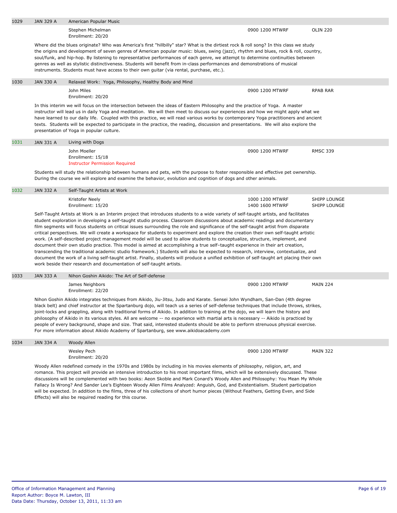| 1029 | <b>JAN 329 A</b> | American Popular Music                                                                                                                                                                                                                                                                                                                                                                                                                                                                                                                                                                                                                                                                                                                                                                                                                                                                                                                                                                                                                                                                                                                                                           |                                    |                              |
|------|------------------|----------------------------------------------------------------------------------------------------------------------------------------------------------------------------------------------------------------------------------------------------------------------------------------------------------------------------------------------------------------------------------------------------------------------------------------------------------------------------------------------------------------------------------------------------------------------------------------------------------------------------------------------------------------------------------------------------------------------------------------------------------------------------------------------------------------------------------------------------------------------------------------------------------------------------------------------------------------------------------------------------------------------------------------------------------------------------------------------------------------------------------------------------------------------------------|------------------------------------|------------------------------|
|      |                  | Stephen Michelman<br>Enrollment: 20/20                                                                                                                                                                                                                                                                                                                                                                                                                                                                                                                                                                                                                                                                                                                                                                                                                                                                                                                                                                                                                                                                                                                                           | 0900 1200 MTWRF                    | <b>OLIN 220</b>              |
|      |                  | Where did the blues originate? Who was America's first "hillbilly" star? What is the dirtiest rock & roll song? In this class we study<br>the origins and development of seven genres of American popular music: blues, swing (jazz), rhythm and blues, rock & roll, country,<br>soul/funk, and hip-hop. By listening to representative performances of each genre, we attempt to determine continuities between<br>genres as well as stylistic distinctiveness. Students will benefit from in-class performances and demonstrations of musical<br>instruments. Students must have access to their own guitar (via rental, purchase, etc.).                                                                                                                                                                                                                                                                                                                                                                                                                                                                                                                                      |                                    |                              |
| 1030 | <b>JAN 330 A</b> | Relaxed Work: Yoga, Philosophy, Healthy Body and Mind                                                                                                                                                                                                                                                                                                                                                                                                                                                                                                                                                                                                                                                                                                                                                                                                                                                                                                                                                                                                                                                                                                                            |                                    |                              |
|      |                  | John Miles<br>Enrollment: 20/20                                                                                                                                                                                                                                                                                                                                                                                                                                                                                                                                                                                                                                                                                                                                                                                                                                                                                                                                                                                                                                                                                                                                                  | 0900 1200 MTWRF                    | <b>RPAB RAR</b>              |
|      |                  | In this interim we will focus on the intersection between the ideas of Eastern Philosophy and the practice of Yoga. A master<br>instructor will lead us in daily Yoga and meditation. We will then meet to discuss our experiences and how we might apply what we<br>have learned to our daily life. Coupled with this practice, we will read various works by contemporary Yoga practitioners and ancient<br>texts. Students will be expected to participate in the practice, the reading, discussion and presentations. We will also explore the<br>presentation of Yoga in popular culture.                                                                                                                                                                                                                                                                                                                                                                                                                                                                                                                                                                                   |                                    |                              |
| 1031 | JAN 331 A        | Living with Dogs                                                                                                                                                                                                                                                                                                                                                                                                                                                                                                                                                                                                                                                                                                                                                                                                                                                                                                                                                                                                                                                                                                                                                                 |                                    |                              |
|      |                  | John Moeller<br>Enrollment: 15/18<br><b>Instructor Permission Required</b>                                                                                                                                                                                                                                                                                                                                                                                                                                                                                                                                                                                                                                                                                                                                                                                                                                                                                                                                                                                                                                                                                                       | 0900 1200 MTWRF                    | <b>RMSC 339</b>              |
|      |                  | Students will study the relationship between humans and pets, with the purpose to foster responsible and effective pet ownership.<br>During the course we will explore and examine the behavior, evolution and cognition of dogs and other animals.                                                                                                                                                                                                                                                                                                                                                                                                                                                                                                                                                                                                                                                                                                                                                                                                                                                                                                                              |                                    |                              |
| 1032 | JAN 332 A        | Self-Taught Artists at Work                                                                                                                                                                                                                                                                                                                                                                                                                                                                                                                                                                                                                                                                                                                                                                                                                                                                                                                                                                                                                                                                                                                                                      |                                    |                              |
|      |                  | Kristofer Neely<br>Enrollment: 15/20                                                                                                                                                                                                                                                                                                                                                                                                                                                                                                                                                                                                                                                                                                                                                                                                                                                                                                                                                                                                                                                                                                                                             | 1000 1200 MTWRF<br>1400 1600 MTWRF | SHIPP LOUNGE<br>SHIPP LOUNGE |
|      |                  | Self-Taught Artists at Work is an Interim project that introduces students to a wide variety of self-taught artists, and facilitates<br>student exploration in developing a self-taught studio process. Classroom discussions about academic readings and documentary<br>film segments will focus students on critical issues surrounding the role and significance of the self-taught artist from disparate<br>critical perspectives. We will create a workspace for students to experiment and explore the creation their own self-taught artistic<br>work. (A self-described project management model will be used to allow students to conceptualize, structure, implement, and<br>document their own studio practice. This model is aimed at accomplishing a true self-taught experience in their art creation,<br>transcending the traditional academic studio framework.) Students will also be expected to research, interview, contextualize, and<br>document the work of a living self-taught artist. Finally, students will produce a unified exhibition of self-taught art placing their own<br>work beside their research and documentation of self-taught artists. |                                    |                              |
| 1033 | <b>JAN 333 A</b> | Nihon Goshin Aikido: The Art of Self-defense                                                                                                                                                                                                                                                                                                                                                                                                                                                                                                                                                                                                                                                                                                                                                                                                                                                                                                                                                                                                                                                                                                                                     |                                    |                              |
|      |                  | James Neighbors<br>Enrollment: 22/20                                                                                                                                                                                                                                                                                                                                                                                                                                                                                                                                                                                                                                                                                                                                                                                                                                                                                                                                                                                                                                                                                                                                             | 0900 1200 MTWRF                    | <b>MAIN 224</b>              |
|      |                  | Nihon Goshin Aikido integrates techniques from Aikido, Jiu-Jitsu, Judo and Karate. Sensei John Wyndham, San-Dan (4th degree<br>black belt) and chief instructor at the Spartanburg dojo, will teach us a series of self-defense techniques that include throws, strikes,<br>joint-locks and grappling, along with traditional forms of Aikido. In addition to training at the dojo, we will learn the history and<br>philosophy of Aikido in its various styles. All are welcome -- no experience with martial arts is necessary -- Aikido is practiced by<br>people of every background, shape and size. That said, interested students should be able to perform strenuous physical exercise.<br>For more information about Aikido Academy of Spartanburg, see www.aikidoacademy.com                                                                                                                                                                                                                                                                                                                                                                                           |                                    |                              |
| 1034 | JAN 334 A        | Woody Allen                                                                                                                                                                                                                                                                                                                                                                                                                                                                                                                                                                                                                                                                                                                                                                                                                                                                                                                                                                                                                                                                                                                                                                      |                                    |                              |
|      |                  | Wesley Pech<br>Enrollment: 20/20                                                                                                                                                                                                                                                                                                                                                                                                                                                                                                                                                                                                                                                                                                                                                                                                                                                                                                                                                                                                                                                                                                                                                 | 0900 1200 MTWRF                    | <b>MAIN 322</b>              |
|      |                  | Woody Allen redefined comedy in the 1970s and 1980s by including in his movies elements of philosophy, religion, art, and<br>romance. This project will provide an intensive introduction to his most important films, which will be extensively discussed. These<br>discussions will be complemented with two books: Aeon Skoble and Mark Conard's Woody Allen and Philosophy: You Mean My Whole<br>Fallacy Is Wrong? And Sander Lee's Eighteen Woody Allen Films Analyzed: Anguish, God, and Existentialism. Student participation<br>will be expected. In addition to the films, three of his collections of short humor pieces (Without Feathers, Getting Even, and Side<br>Effects) will also be required reading for this course.                                                                                                                                                                                                                                                                                                                                                                                                                                          |                                    |                              |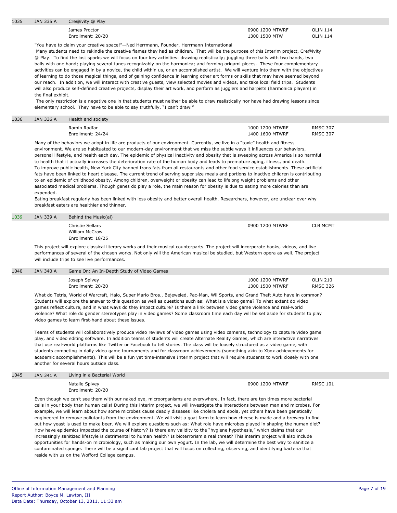| 1035 | JAN 335 A | Cre@ivity @ Play |  |
|------|-----------|------------------|--|
|      |           |                  |  |

James Proctor Enrollment: 20/20

0900 1200 MTWRF 1300 1500 MTW

OLIN 114 OLIN 114

"You have to claim your creative space!"—Ned Herrmann, Founder, Herrmann International

 Many students need to rekindle the creative flames they had as children. That will be the purpose of this Interim project, Cre@ivity @ Play. To find the lost sparks we will focus on four key activities: drawing realistically; juggling three balls with two hands, two balls with one hand; playing several tunes recognizably on the harmonica; and forming origami pieces. These four complementary activities can be engaged in by a novice, the child within us, or an accomplished artist. We will venture into them with the objectives of learning to do those magical things, and of gaining confidence in learning other art forms or skills that may have seemed beyond our reach. In addition, we will interact with creative guests, view selected movies and videos, and take local field trips. Students will also produce self-defined creative projects, display their art work, and perform as jugglers and harpists (harmonica players) in the final exhibit.

 The only restriction is a negative one in that students must neither be able to draw realistically nor have had drawing lessons since elementary school. They have to be able to say truthfully, "I can't draw!"

## 1036 JAN 336 A Health and society

Ramin Radfar Enrollment: 24/24 1000 1200 MTWRF 1400 1600 MTWRF RMSC 307 RMSC 307

Many of the behaviors we adopt in life are products of our environment. Currently, we live in a "toxic" health and fitness environment. We are so habituated to our modern-day environment that we miss the subtle ways it influences our behaviors, personal lifestyle, and health each day. The epidemic of physical inactivity and obesity that is sweeping across America is so harmful to health that it actually increases the deterioration rate of the human body and leads to premature aging, illness, and death. To improve public health, New York City banned trans fats from all restaurants and other food service establishments. These artificial fats have been linked to heart disease. The current trend of serving super size meals and portions to inactive children is contributing to an epidemic of childhood obesity. Among children, overweight or obesity can lead to lifelong weight problems and other associated medical problems. Though genes do play a role, the main reason for obesity is due to eating more calories than are expended.

Eating breakfast regularly has been linked with less obesity and better overall health. Researchers, however, are unclear over why breakfast eaters are healthier and thinner.

| 1039 | JAN 339 A | Behind the Music(al)                                    |                 |                 |
|------|-----------|---------------------------------------------------------|-----------------|-----------------|
|      |           | Christie Sellars<br>William McCraw<br>Enrollment: 18/25 | 0900 1200 MTWRF | <b>CLB MCMT</b> |

This project will explore classical literary works and their musical counterparts. The project will incorporate books, videos, and live performances of several of the chosen works. Not only will the American musical be studied, but Western opera as well. The project will include trips to see live performances.

| 1040 | JAN 340 A | Game On: An In-Depth Study of Video Games |                                    |                                    |
|------|-----------|-------------------------------------------|------------------------------------|------------------------------------|
|      |           | Joseph Spivey<br>Enrollment: 20/20        | 1000 1200 MTWRF<br>1300 1500 MTWRF | <b>OLIN 210</b><br><b>RMSC 326</b> |

What do Tetris, World of Warcraft, Halo, Super Mario Bros., Bejeweled, Pac-Man, Wii Sports, and Grand Theft Auto have in common? Students will explore the answer to this question as well as questions such as: What is a video game? To what extent do video games reflect culture, and in what ways do they impact culture? Is there a link between video game violence and real-world violence? What role do gender stereotypes play in video games? Some classroom time each day will be set aside for students to play video games to learn first-hand about these issues.

Teams of students will collaboratively produce video reviews of video games using video cameras, technology to capture video game play, and video editing software. In addition teams of students will create Alternate Reality Games, which are interactive narratives that use real-world platforms like Twitter or Facebook to tell stories. The class will be loosely structured as a video game, with students competing in daily video game tournaments and for classroom achievements (something akin to Xbox achievements for academic accomplishments). This will be a fun yet time-intensive Interim project that will require students to work closely with one another for several hours outside class.

#### 1045 JAN 341 A Living in a Bacterial World

Natalie Spivey Enrollment: 20/20 0900 1200 MTWRF RMSC 101

Even though we can't see them with our naked eye, microorganisms are everywhere. In fact, there are ten times more bacterial cells in your body than human cells! During this interim project, we will investigate the interactions between man and microbes. For example, we will learn about how some microbes cause deadly diseases like cholera and ebola, yet others have been genetically engineered to remove pollutants from the environment. We will visit a goat farm to learn how cheese is made and a brewery to find out how yeast is used to make beer. We will explore questions such as: What role have microbes played in shaping the human diet? How have epidemics impacted the course of history? Is there any validity to the "hygiene hypothesis," which claims that our increasingly sanitized lifestyle is detrimental to human health? Is bioterrorism a real threat? This interim project will also include opportunities for hands-on microbiology, such as making our own yogurt. In the lab, we will determine the best way to sanitize a contaminated sponge. There will be a significant lab project that will focus on collecting, observing, and identifying bacteria that reside with us on the Wofford College campus.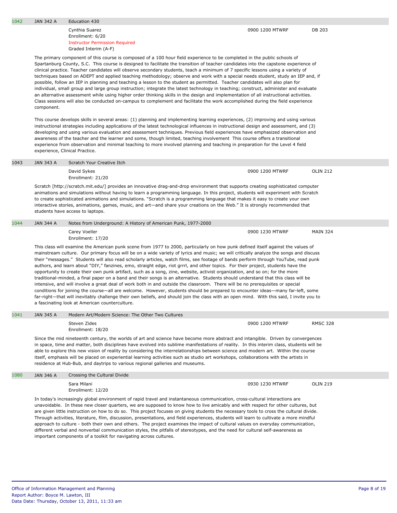important components of a toolkit for navigating across cultures.

1042 JAN 342 A Education 430

Cynthia Suarez Enrollment: 6/20

Instructor Permission Required

|      |                                                                                                                                                                                                                                                                                                                                                                                                            | experience, Clinical Practice.                                                |                                                               | This course develops skills in several areas: (1) planning and implementing learning experiences, (2) improving and using various<br>instructional strategies including applications of the latest technological influences in instructional design and assessment, and (3)<br>developing and using various evaluation and assessment techniques. Previous field experiences have emphasized observation and<br>awareness of the teacher and the learner and some, though limited, teaching involvement This course offers a transitional<br>experience from observation and minimal teaching to more involved planning and teaching in preparation for the Level 4 field                                                                                                                                                                                                                                                                                                                                                                                                                                                                                                                                                               |                 |
|------|------------------------------------------------------------------------------------------------------------------------------------------------------------------------------------------------------------------------------------------------------------------------------------------------------------------------------------------------------------------------------------------------------------|-------------------------------------------------------------------------------|---------------------------------------------------------------|-----------------------------------------------------------------------------------------------------------------------------------------------------------------------------------------------------------------------------------------------------------------------------------------------------------------------------------------------------------------------------------------------------------------------------------------------------------------------------------------------------------------------------------------------------------------------------------------------------------------------------------------------------------------------------------------------------------------------------------------------------------------------------------------------------------------------------------------------------------------------------------------------------------------------------------------------------------------------------------------------------------------------------------------------------------------------------------------------------------------------------------------------------------------------------------------------------------------------------------------|-----------------|
| 1043 | <b>JAN 343 A</b>                                                                                                                                                                                                                                                                                                                                                                                           | Scratch Your Creative Itch                                                    |                                                               |                                                                                                                                                                                                                                                                                                                                                                                                                                                                                                                                                                                                                                                                                                                                                                                                                                                                                                                                                                                                                                                                                                                                                                                                                                         |                 |
|      |                                                                                                                                                                                                                                                                                                                                                                                                            | David Sykes<br>Enrollment: 21/20                                              |                                                               | 0900 1200 MTWRF                                                                                                                                                                                                                                                                                                                                                                                                                                                                                                                                                                                                                                                                                                                                                                                                                                                                                                                                                                                                                                                                                                                                                                                                                         | <b>OLIN 212</b> |
|      |                                                                                                                                                                                                                                                                                                                                                                                                            | students have access to laptops.                                              |                                                               | Scratch [http://scratch.mit.edu/] provides an innovative drag-and-drop environment that supports creating sophisticated computer<br>animations and simulations without having to learn a programming language. In this project, students will experiment with Scratch<br>to create sophisticated animations and simulations. "Scratch is a programming language that makes it easy to create your own<br>interactive stories, animations, games, music, and art—and share your creations on the Web." It is strongly recommended that                                                                                                                                                                                                                                                                                                                                                                                                                                                                                                                                                                                                                                                                                                   |                 |
| 1044 | <b>JAN 344 A</b>                                                                                                                                                                                                                                                                                                                                                                                           |                                                                               | Notes from Underground: A History of American Punk, 1977-2000 |                                                                                                                                                                                                                                                                                                                                                                                                                                                                                                                                                                                                                                                                                                                                                                                                                                                                                                                                                                                                                                                                                                                                                                                                                                         |                 |
|      |                                                                                                                                                                                                                                                                                                                                                                                                            | Carey Voeller<br>Enrollment: 17/20                                            |                                                               | 0900 1230 MTWRF                                                                                                                                                                                                                                                                                                                                                                                                                                                                                                                                                                                                                                                                                                                                                                                                                                                                                                                                                                                                                                                                                                                                                                                                                         | <b>MAIN 324</b> |
|      |                                                                                                                                                                                                                                                                                                                                                                                                            | a fascinating look at American counterculture.                                |                                                               | This class will examine the American punk scene from 1977 to 2000, particularly on how punk defined itself against the values of<br>mainstream culture. Our primary focus will be on a wide variety of lyrics and music; we will critically analyze the songs and discuss<br>their "messages." Students will also read scholarly articles, watch films, see footage of bands perform through YouTube, read punk<br>authors, and learn about "DIY," fanzines, emo, straight edge, riot grrrl, and other topics. For their project, students have the<br>opportunity to create their own punk artifact, such as a song, zine, website, activist organization, and so on; for the more<br>traditional-minded, a final paper on a band and their songs is an alternative. Students should understand that this class will be<br>intensive, and will involve a great deal of work both in and outside the classroom. There will be no prerequisites or special<br>conditions for joining the course—all are welcome. However, students should be prepared to encounter ideas—many far-left, some<br>far-right—that will inevitably challenge their own beliefs, and should join the class with an open mind. With this said, I invite you to |                 |
| 1041 | <b>JAN 345 A</b>                                                                                                                                                                                                                                                                                                                                                                                           | Modern Art/Modern Science: The Other Two Cultures                             |                                                               |                                                                                                                                                                                                                                                                                                                                                                                                                                                                                                                                                                                                                                                                                                                                                                                                                                                                                                                                                                                                                                                                                                                                                                                                                                         |                 |
|      |                                                                                                                                                                                                                                                                                                                                                                                                            | Steven Zides<br>Enrollment: 18/20                                             |                                                               | 0900 1200 MTWRF                                                                                                                                                                                                                                                                                                                                                                                                                                                                                                                                                                                                                                                                                                                                                                                                                                                                                                                                                                                                                                                                                                                                                                                                                         | <b>RMSC 328</b> |
|      |                                                                                                                                                                                                                                                                                                                                                                                                            | residence at Hub-Bub, and daytrips to various regional galleries and museums. |                                                               | Since the mid nineteenth century, the worlds of art and science have become more abstract and intangible. Driven by convergences<br>in space, time and matter, both disciplines have evolved into sublime manifestations of reality. In this interim class, students will be<br>able to explore this new vision of reality by considering the interrelationships between science and modern art. Within the course<br>itself, emphasis will be placed on experiential learning activities such as studio art workshops, collaborations with the artists in                                                                                                                                                                                                                                                                                                                                                                                                                                                                                                                                                                                                                                                                              |                 |
| 1080 | <b>JAN 346 A</b>                                                                                                                                                                                                                                                                                                                                                                                           | Crossing the Cultural Divide                                                  |                                                               |                                                                                                                                                                                                                                                                                                                                                                                                                                                                                                                                                                                                                                                                                                                                                                                                                                                                                                                                                                                                                                                                                                                                                                                                                                         |                 |
|      |                                                                                                                                                                                                                                                                                                                                                                                                            | Sara Milani<br>Enrollment: 12/20                                              |                                                               | 0930 1230 MTWRF                                                                                                                                                                                                                                                                                                                                                                                                                                                                                                                                                                                                                                                                                                                                                                                                                                                                                                                                                                                                                                                                                                                                                                                                                         | <b>OLIN 219</b> |
|      | In today's increasingly global environment of rapid travel and instantaneous communication, cross-cultural interactions are<br>unavoidable. In these new closer quarters, we are supposed to know how to live amicably and with respect for other cultures, but<br>are given little instruction on how to do so. This project focuses on giving students the necessary tools to cross the cultural divide. |                                                                               |                                                               |                                                                                                                                                                                                                                                                                                                                                                                                                                                                                                                                                                                                                                                                                                                                                                                                                                                                                                                                                                                                                                                                                                                                                                                                                                         |                 |

Through activities, literature, film, discussion, presentations, and field experiences, students will learn to cultivate a more mindful approach to culture - both their own and others. The project examines the impact of cultural values on everyday communication, different verbal and nonverbal communication styles, the pitfalls of stereotypes, and the need for cultural self-awareness as

Spartanburg County, S.C. This course is designed to facilitate the transition of teacher candidates into the capstone experience of clinical practice. Teacher candidates will observe secondary students, teach a minimum of 7 specific lessons using a variety of techniques based on ADEPT and applied teaching methodology; observe and work with a special needs student, study an IEP and, if possible, follow an IEP in planning and teaching a lesson to the student as permitted. Teacher candidates will also plan for individual, small group and large group instruction; integrate the latest technology in teaching; construct, administer and evaluate an alternative assessment while using higher order thinking skills in the design and implementation of all instructional activities. Class sessions will also be conducted on-campus to complement and facilitate the work accomplished during the field experience component.

Graded Interim (A-F) The primary component of this course is composed of a 100 hour field experience to be completed in the public schools of

0900 1200 MTWRF DB 203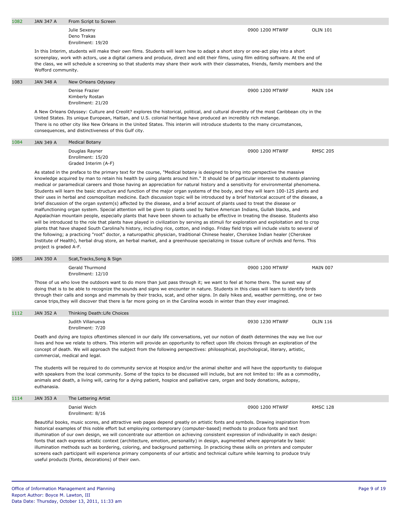| 1082 | <b>JAN 347 A</b>       | From Script to Screen                                                                                                                                                                                                                                                                                                                                                                                                                                                                                                                                                                                                                                                                                                                                                                                                                                                                                                                                                                                                                                                                                                                                                                                                                                                                                                                                                                                                                                                                                                                                                                                                                                                        |                 |                 |
|------|------------------------|------------------------------------------------------------------------------------------------------------------------------------------------------------------------------------------------------------------------------------------------------------------------------------------------------------------------------------------------------------------------------------------------------------------------------------------------------------------------------------------------------------------------------------------------------------------------------------------------------------------------------------------------------------------------------------------------------------------------------------------------------------------------------------------------------------------------------------------------------------------------------------------------------------------------------------------------------------------------------------------------------------------------------------------------------------------------------------------------------------------------------------------------------------------------------------------------------------------------------------------------------------------------------------------------------------------------------------------------------------------------------------------------------------------------------------------------------------------------------------------------------------------------------------------------------------------------------------------------------------------------------------------------------------------------------|-----------------|-----------------|
|      |                        | Julie Sexeny<br>Deno Trakas<br>Enrollment: 19/20                                                                                                                                                                                                                                                                                                                                                                                                                                                                                                                                                                                                                                                                                                                                                                                                                                                                                                                                                                                                                                                                                                                                                                                                                                                                                                                                                                                                                                                                                                                                                                                                                             | 0900 1200 MTWRF | <b>OLIN 101</b> |
|      | Wofford community.     | In this Interim, students will make their own films. Students will learn how to adapt a short story or one-act play into a short<br>screenplay, work with actors, use a digital camera and produce, direct and edit their films, using film editing software. At the end of<br>the class, we will schedule a screening so that students may share their work with their classmates, friends, family members and the                                                                                                                                                                                                                                                                                                                                                                                                                                                                                                                                                                                                                                                                                                                                                                                                                                                                                                                                                                                                                                                                                                                                                                                                                                                          |                 |                 |
| 1083 | <b>JAN 348 A</b>       | New Orleans Odyssey                                                                                                                                                                                                                                                                                                                                                                                                                                                                                                                                                                                                                                                                                                                                                                                                                                                                                                                                                                                                                                                                                                                                                                                                                                                                                                                                                                                                                                                                                                                                                                                                                                                          |                 |                 |
|      |                        | Denise Frazier<br>Kimberly Rostan<br>Enrollment: 21/20                                                                                                                                                                                                                                                                                                                                                                                                                                                                                                                                                                                                                                                                                                                                                                                                                                                                                                                                                                                                                                                                                                                                                                                                                                                                                                                                                                                                                                                                                                                                                                                                                       | 0900 1200 MTWRF | <b>MAIN 104</b> |
|      |                        | A New Orleans Odyssey: Culture and Creolit? explores the historical, political, and cultural diversity of the most Caribbean city in the<br>United States. Its unique European, Haitian, and U.S. colonial heritage have produced an incredibly rich melange.<br>There is no other city like New Orleans in the United States. This interim will introduce students to the many circumstances,<br>consequences, and distinctiveness of this Gulf city.                                                                                                                                                                                                                                                                                                                                                                                                                                                                                                                                                                                                                                                                                                                                                                                                                                                                                                                                                                                                                                                                                                                                                                                                                       |                 |                 |
| 1084 | <b>JAN 349 A</b>       | <b>Medical Botany</b>                                                                                                                                                                                                                                                                                                                                                                                                                                                                                                                                                                                                                                                                                                                                                                                                                                                                                                                                                                                                                                                                                                                                                                                                                                                                                                                                                                                                                                                                                                                                                                                                                                                        |                 |                 |
|      |                        | Douglas Rayner<br>Enrollment: 15/20<br>Graded Interim (A-F)                                                                                                                                                                                                                                                                                                                                                                                                                                                                                                                                                                                                                                                                                                                                                                                                                                                                                                                                                                                                                                                                                                                                                                                                                                                                                                                                                                                                                                                                                                                                                                                                                  | 0900 1200 MTWRF | <b>RMSC 205</b> |
|      | project is graded A-F. | As stated in the preface to the primary text for the course, "Medical botany is designed to bring into perspective the massive<br>knowledge acquired by man to retain his health by using plants around him." It should be of particular interest to students planning<br>medical or paramedical careers and those having an appreciation for natural history and a sensitivity for environmental phenomena.<br>Students will learn the basic structure and function of the major organ systems of the body, and they will learn 100-125 plants and<br>their uses in herbal and cosmopolitan medicine. Each discussion topic will be introduced by a brief historical account of the disease, a<br>brief discussion of the organ system(s) affected by the disease, and a brief account of plants used to treat the disease or<br>malfunctioning organ system. Special attention will be given to plants used by Native American Indians, Gullah blacks, and<br>Appalachian mountain people, especially plants that have been shown to actually be effective in treating the disease. Students also<br>will be introduced to the role that plants have played in civilization by serving as stimuli for exploration and exploitation and to crop<br>plants that have shaped South Carolina?s history, including rice, cotton, and indigo. Friday field trips will include visits to several of<br>the following; a practicing "root" doctor, a naturopathic physician, traditional Chinese healer, Cherokee Indian healer (Cherokee<br>Institute of Health), herbal drug store, an herbal market, and a greenhouse specializing in tissue culture of orchids and ferns. This |                 |                 |
| 1085 | <b>JAN 350 A</b>       | Scat, Tracks, Song & Sign                                                                                                                                                                                                                                                                                                                                                                                                                                                                                                                                                                                                                                                                                                                                                                                                                                                                                                                                                                                                                                                                                                                                                                                                                                                                                                                                                                                                                                                                                                                                                                                                                                                    |                 |                 |
|      |                        | Gerald Thurmond<br>Enrollment: 12/10                                                                                                                                                                                                                                                                                                                                                                                                                                                                                                                                                                                                                                                                                                                                                                                                                                                                                                                                                                                                                                                                                                                                                                                                                                                                                                                                                                                                                                                                                                                                                                                                                                         | 0900 1200 MTWRF | <b>MAIN 007</b> |
|      |                        | Those of us who love the outdoors want to do more than just pass through it; we want to feel at home there. The surest way of<br>doing that is to be able to recognize the sounds and signs we encounter in nature. Students in this class will learn to identify birds<br>through their calls and songs and mammals by their tracks, scat, and other signs. In daily hikes and, weather permitting, one or two<br>canoe trips, they will discover that there is far more going on in the Carolina woods in winter than they ever imagined.                                                                                                                                                                                                                                                                                                                                                                                                                                                                                                                                                                                                                                                                                                                                                                                                                                                                                                                                                                                                                                                                                                                                  |                 |                 |
| 1112 | <b>JAN 352 A</b>       | Thinking Death: Life Choices                                                                                                                                                                                                                                                                                                                                                                                                                                                                                                                                                                                                                                                                                                                                                                                                                                                                                                                                                                                                                                                                                                                                                                                                                                                                                                                                                                                                                                                                                                                                                                                                                                                 |                 |                 |
|      |                        | Judith Villanueva<br>Enrollment: 7/20                                                                                                                                                                                                                                                                                                                                                                                                                                                                                                                                                                                                                                                                                                                                                                                                                                                                                                                                                                                                                                                                                                                                                                                                                                                                                                                                                                                                                                                                                                                                                                                                                                        | 0930 1230 MTWRF | <b>OLIN 116</b> |
|      |                        | Death and dying are topics oftentimes silenced in our daily life conversations, yet our notion of death determines the way we live our<br>lives and how we relate to others. This interim will provide an opportunity to reflect upon life choices through an exploration of the<br>concept of death. We will approach the subject from the following perspectives: philosophical, psychological, literary, artistic,<br>commercial, medical and legal.                                                                                                                                                                                                                                                                                                                                                                                                                                                                                                                                                                                                                                                                                                                                                                                                                                                                                                                                                                                                                                                                                                                                                                                                                      |                 |                 |
|      | euthanasia.            | The students will be required to do community service at Hospice and/or the animal shelter and will have the opportunity to dialoque<br>with speakers from the local community. Some of the topics to be discussed will include, but are not limited to: life as a commodity,<br>animals and death, a living will, caring for a dying patient, hospice and palliative care, organ and body donations, autopsy,                                                                                                                                                                                                                                                                                                                                                                                                                                                                                                                                                                                                                                                                                                                                                                                                                                                                                                                                                                                                                                                                                                                                                                                                                                                               |                 |                 |
| 1114 | JAN 353 A              | The Lettering Artist                                                                                                                                                                                                                                                                                                                                                                                                                                                                                                                                                                                                                                                                                                                                                                                                                                                                                                                                                                                                                                                                                                                                                                                                                                                                                                                                                                                                                                                                                                                                                                                                                                                         |                 |                 |
|      |                        | Daniel Welch<br>Enrollment: 8/16                                                                                                                                                                                                                                                                                                                                                                                                                                                                                                                                                                                                                                                                                                                                                                                                                                                                                                                                                                                                                                                                                                                                                                                                                                                                                                                                                                                                                                                                                                                                                                                                                                             | 0900 1200 MTWRF | <b>RMSC 128</b> |
|      |                        | Beautiful books, music scores, and attractive web pages depend greatly on artistic fonts and symbols. Drawing inspiration from<br>historical examples of this noble effort but employing contemporary (computer-based) methods to produce fonts and text<br>illumination of our own design, we will concentrate our attention on achieving consistent expression of individuality in each design:<br>fonts that each express artistic context (architecture, emotion, personality) in design, augmented where appropriate by basic<br>illumination methods such as bordering, coloring, and background patterning. In practicing these skills on printers and computer<br>screens each participant will experience primary components of our artistic and technical culture while learning to produce truly<br>useful products (fonts, decorations) of their own.                                                                                                                                                                                                                                                                                                                                                                                                                                                                                                                                                                                                                                                                                                                                                                                                            |                 |                 |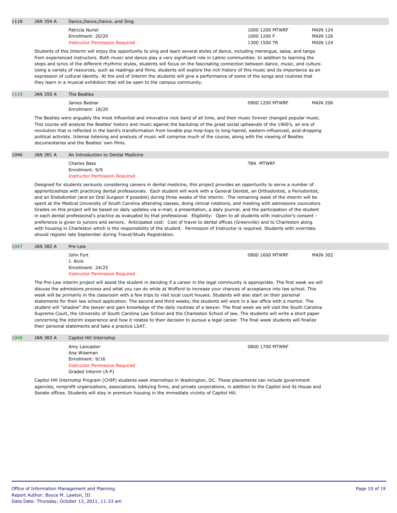| 1118 | JAN 354 A                                                                                                                                                                                                                                                                                                                                                                                                                                                                                                                                                                                                                                                                                                                                                                                                                                                                                                                                                                                                                                                                                                                                                                                          | Dance, Dance, Danceand Sing                                                                                                                                                                                                                                                                                                                                                                                                                                                                                                                                                                                                                                                                                                                                                                                                                                                                                                                                                                                                              |                                                |                                                       |
|------|----------------------------------------------------------------------------------------------------------------------------------------------------------------------------------------------------------------------------------------------------------------------------------------------------------------------------------------------------------------------------------------------------------------------------------------------------------------------------------------------------------------------------------------------------------------------------------------------------------------------------------------------------------------------------------------------------------------------------------------------------------------------------------------------------------------------------------------------------------------------------------------------------------------------------------------------------------------------------------------------------------------------------------------------------------------------------------------------------------------------------------------------------------------------------------------------------|------------------------------------------------------------------------------------------------------------------------------------------------------------------------------------------------------------------------------------------------------------------------------------------------------------------------------------------------------------------------------------------------------------------------------------------------------------------------------------------------------------------------------------------------------------------------------------------------------------------------------------------------------------------------------------------------------------------------------------------------------------------------------------------------------------------------------------------------------------------------------------------------------------------------------------------------------------------------------------------------------------------------------------------|------------------------------------------------|-------------------------------------------------------|
|      |                                                                                                                                                                                                                                                                                                                                                                                                                                                                                                                                                                                                                                                                                                                                                                                                                                                                                                                                                                                                                                                                                                                                                                                                    | Patricia Nuriel<br>Enrollment: 20/20<br><b>Instructor Permission Required</b>                                                                                                                                                                                                                                                                                                                                                                                                                                                                                                                                                                                                                                                                                                                                                                                                                                                                                                                                                            | 1000 1200 MTWRF<br>1000 1200 F<br>1300 1500 TR | <b>MAIN 124</b><br><b>MAIN 126</b><br><b>MAIN 124</b> |
|      |                                                                                                                                                                                                                                                                                                                                                                                                                                                                                                                                                                                                                                                                                                                                                                                                                                                                                                                                                                                                                                                                                                                                                                                                    | Students of this Interim will enjoy the opportunity to sing and learn several styles of dance, including merengue, salsa, and tango<br>from experienced instructors. Both music and dance play a very significant role in Latino communities. In addition to learning the<br>steps and lyrics of the different rhythmic styles, students will focus on the fascinating connection between dance, music, and culture.<br>Using a variety of resources, such as readings and films, students will explore the rich history of this music and its importance as an<br>expression of cultural identity. At the end of Interim the students will give a performance of some of the songs and routines that<br>they learn in a musical exhibition that will be open to the campus community.                                                                                                                                                                                                                                                   |                                                |                                                       |
| 1119 | JAN 355 A                                                                                                                                                                                                                                                                                                                                                                                                                                                                                                                                                                                                                                                                                                                                                                                                                                                                                                                                                                                                                                                                                                                                                                                          | The Beatles                                                                                                                                                                                                                                                                                                                                                                                                                                                                                                                                                                                                                                                                                                                                                                                                                                                                                                                                                                                                                              |                                                |                                                       |
|      |                                                                                                                                                                                                                                                                                                                                                                                                                                                                                                                                                                                                                                                                                                                                                                                                                                                                                                                                                                                                                                                                                                                                                                                                    | James Bednar<br>Enrollment: 18/20                                                                                                                                                                                                                                                                                                                                                                                                                                                                                                                                                                                                                                                                                                                                                                                                                                                                                                                                                                                                        | 0900 1200 MTWRF                                | <b>MAIN 206</b>                                       |
|      |                                                                                                                                                                                                                                                                                                                                                                                                                                                                                                                                                                                                                                                                                                                                                                                                                                                                                                                                                                                                                                                                                                                                                                                                    | The Beatles were arguably the most influential and innovative rock band of all time, and their music forever changed popular music.<br>This course will analyze the Beatles' history and music against the backdrop of the great social upheavals of the 1960's, an era of<br>revolution that is reflected in the band's transformation from lovable pop mop-tops to long-haired, eastern-influenced, acid-dropping<br>political activists. Intense listening and analysis of music will comprise much of the course, along with the viewing of Beatles<br>documentaries and the Beatles' own films.                                                                                                                                                                                                                                                                                                                                                                                                                                     |                                                |                                                       |
| 1046 | JAN 381 A                                                                                                                                                                                                                                                                                                                                                                                                                                                                                                                                                                                                                                                                                                                                                                                                                                                                                                                                                                                                                                                                                                                                                                                          | An Introduction to Dental Medicine                                                                                                                                                                                                                                                                                                                                                                                                                                                                                                                                                                                                                                                                                                                                                                                                                                                                                                                                                                                                       |                                                |                                                       |
|      |                                                                                                                                                                                                                                                                                                                                                                                                                                                                                                                                                                                                                                                                                                                                                                                                                                                                                                                                                                                                                                                                                                                                                                                                    | <b>Charles Bass</b><br>Enrollment: 9/9<br><b>Instructor Permission Required</b>                                                                                                                                                                                                                                                                                                                                                                                                                                                                                                                                                                                                                                                                                                                                                                                                                                                                                                                                                          | TBA MTWRF                                      |                                                       |
|      | Designed for students seriously considering careers in dental medicine, this project provides an opportunity to serve a number of<br>apprenticeships with practicing dental professionals. Each student will work with a General Dentist, an Orthodontist, a Periodontist,<br>and an Endodontist (and an Oral Surgeon if possible) during three weeks of the interim. The remaining week of the interim will be<br>spent at the Medical University of South Carolina attending classes, doing clinical rotations, and meeting with admissions councelors.<br>Grades on this project will be based on daily updates via e-mail, a presentation, a daily journal, and the participation of the student<br>in each dental professional's practice as evaluated by that professional. Eligibility: Open to all students with instructor's consent -<br>preference is given to juniors and seniors. Anticipated cost: Cost of travel to dental offices (Greenville) and to Charleston along<br>with housing in Charleston which is the responsibility of the student. Permission of Instructor is required. Students with overrides<br>should register late September during Travel/Study Registration. |                                                                                                                                                                                                                                                                                                                                                                                                                                                                                                                                                                                                                                                                                                                                                                                                                                                                                                                                                                                                                                          |                                                |                                                       |
| 1047 | <b>JAN 382 A</b>                                                                                                                                                                                                                                                                                                                                                                                                                                                                                                                                                                                                                                                                                                                                                                                                                                                                                                                                                                                                                                                                                                                                                                                   | Pre-Law                                                                                                                                                                                                                                                                                                                                                                                                                                                                                                                                                                                                                                                                                                                                                                                                                                                                                                                                                                                                                                  |                                                |                                                       |
|      |                                                                                                                                                                                                                                                                                                                                                                                                                                                                                                                                                                                                                                                                                                                                                                                                                                                                                                                                                                                                                                                                                                                                                                                                    | John Fort<br>J. Alvis<br>Enrollment: 24/25<br><b>Instructor Permission Required</b>                                                                                                                                                                                                                                                                                                                                                                                                                                                                                                                                                                                                                                                                                                                                                                                                                                                                                                                                                      | 0900 1600 MTWRF                                | <b>MAIN 302</b>                                       |
|      |                                                                                                                                                                                                                                                                                                                                                                                                                                                                                                                                                                                                                                                                                                                                                                                                                                                                                                                                                                                                                                                                                                                                                                                                    | The Pre-Law interim project will assist the student in deciding if a career in the legal community is appropriate. The first week we will<br>discuss the admissions process and what you can do while at Wofford to increase your chances of acceptance into law school. This<br>week will be primarily in the classroom with a few trips to visit local court houses. Students will also start on their personal<br>statements for their law school application. The second and third weeks, the students will work in a law office with a mentor. The<br>student will "shadow" the lawyer and gain knowledge of the daily routines of a lawyer. The final week we will visit the South Carolina<br>Supreme Court, the University of South Carolina Law School and the Charleston School of law. The students will write a short paper<br>concerning the interim experience and how it relates to their decision to pursue a legal career. The final week students will finalize<br>their personal statements and take a practice LSAT. |                                                |                                                       |
| 1048 | JAN 383 A                                                                                                                                                                                                                                                                                                                                                                                                                                                                                                                                                                                                                                                                                                                                                                                                                                                                                                                                                                                                                                                                                                                                                                                          | Capitol Hill Internship                                                                                                                                                                                                                                                                                                                                                                                                                                                                                                                                                                                                                                                                                                                                                                                                                                                                                                                                                                                                                  |                                                |                                                       |
|      |                                                                                                                                                                                                                                                                                                                                                                                                                                                                                                                                                                                                                                                                                                                                                                                                                                                                                                                                                                                                                                                                                                                                                                                                    | Amy Lancaster<br>Ana Wiseman<br>Enrollment: 9/16<br><b>Instructor Permission Required</b><br>Graded Interim (A-F)                                                                                                                                                                                                                                                                                                                                                                                                                                                                                                                                                                                                                                                                                                                                                                                                                                                                                                                        | 0800 1700 MTWRF                                |                                                       |
|      | Capitol Hill Internship Program (CHIP) students seek internships in Washington, DC. These placements can include government<br>agencies, nonprofit organizations, associations, lobbying firms, and private corporations, in addition to the Capitol and its House and                                                                                                                                                                                                                                                                                                                                                                                                                                                                                                                                                                                                                                                                                                                                                                                                                                                                                                                             |                                                                                                                                                                                                                                                                                                                                                                                                                                                                                                                                                                                                                                                                                                                                                                                                                                                                                                                                                                                                                                          |                                                |                                                       |

Senate offices. Students will stay in premium housing in the immediate vicinity of Capitol Hill.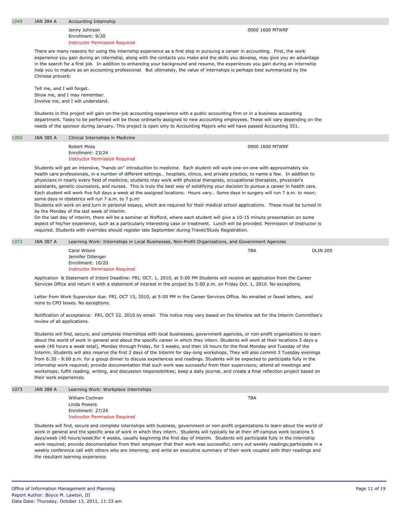Jenny Johnson Enrollment: 9/20 Instructor Permission Required

0900 1600 MTWRF

There are many reasons for using the internship experience as a first step in pursuing a career in accounting. First, the work experience you gain during an internship, along with the contacts you make and the skills you develop, may give you an advantage in the search for a first job. In addition to enhancing your background and resume, the experiences you gain during an internship help you to mature as an accounting professional. But ultimately, the value of internships is perhaps best summarized by the Chinese proverb:

Tell me, and I will forget. Show me, and I may remember. Involve me, and I will understand.

Students in this project will gain on-the-job accounting experience with a public accounting firm or in a business accounting department. Tasks to be performed will be those ordinarily assigned to new accounting employees. These will vary depending on the needs of the sponsor during January. This project is open only to Accounting Majors who will have passed Accounting 351.

1050 JAN 385 A Clinical Internships in Medicine

Robert Moss Enrollment: 23/24 Instructor Permission Required 0900 1600 MTWRF

Students will get an intensive, "hands on" introduction to medicine. Each student will work one-on-one with approximately six health care professionals, in a number of different settings… hospitals, clinics, and private practice, to name a few. In addition to physicians in nearly every field of medicine, students may work with physical therapists, occupational therapists, physician's assistants, genetic counselors, and nurses. This is truly the best way of solidifying your decision to pursue a career in health care. Each student will work five full days a week at the assigned locations. Hours vary… Some days in surgery will run 7 a.m. to noon; some days in obstetrics will run 7 a.m. to 7 p.m!

Students will work on and turn in personal essays, which are required for their medical school applications. These must be turned in by the Monday of the last week of interim.

On the last day of interim, there will be a seminar at Wofford, where each student will give a 10-15 minute presentation on some aspect of his/her experience, such as a particularly interesting case or treatment. Lunch will be provided. Permission of Instructor is required. Students with overrides should register late September during Travel/Study Registration.

| 1072 | JAN 387 A | Learning Work: Internships in Local Businesses, Non-Profit Organizations, and Government Agencies                          |     |                 |  |
|------|-----------|----------------------------------------------------------------------------------------------------------------------------|-----|-----------------|--|
|      |           | Carol Wilson                                                                                                               | TBA | <b>OLIN 205</b> |  |
|      |           | Jennifer Dillenger                                                                                                         |     |                 |  |
|      |           | Enrollment: 10/20                                                                                                          |     |                 |  |
|      |           | <b>Instructor Permission Required</b>                                                                                      |     |                 |  |
|      |           | Application & Statement of Intent Deadline: FRI OCT 1 2010 at 5:00 PM Students will receive an application from the Career |     |                 |  |

Application & Statement of Intent Deadline: FRI, OCT. 1, 2010, at 5:00 PM Students will receive an application from the Career Services Office and return it with a statement of interest in the project by 5:00 p.m. on Friday Oct. 1, 2010. No exceptions.

Letter from Work Supervisor due: FRI, OCT 15, 2010, at 5:00 PM in the Career Services Office. No emailed or faxed letters, and none to CPO boxes. No exceptions.

Notification of acceptance: FRI, OCT 22, 2010 by email. This notice may vary based on the timeline set for the Interim Committee's review of all applications.

Students will find, secure, and complete internships with local businesses, government agencies, or non-profit organizations to learn about the world of work in general and about the specific career in which they intern. Students will work at their locations 5 days a week (40 hours a week total), Monday through Friday, for 3 weeks, and then 16 hours for the final Monday and Tuesday of the Interim. Students will also reserve the first 2 days of the Interim for day-long workshops. They will also commit 3 Tuesday evenings from 6:30 - 9:00 p.m. for a group dinner to discuss experiences and readings. Students will be expected to participate fully in the internship work required; provide documentation that such work was successful from their supervisors; attend all meetings and workshops; fulfill reading, writing, and discussion responsibilities; keep a daily journal, and create a final reflection project based on their work experiences.

| 1073 | <b>JAN 388 A</b> | Learning Work: Workplace Internships  |     |
|------|------------------|---------------------------------------|-----|
|      |                  | William Cochran                       | TBA |
|      |                  | Linda Powers                          |     |
|      |                  | Enrollment: 27/24                     |     |
|      |                  | <b>Instructor Permission Required</b> |     |

Students will find, secure and complete internships with business, government or non-profit organizations to learn about the world of work in general and the specific area of work in which they intern. Students will typically be at their off-campus work locations 5 days/week (40 hours/week)for 4 weeks, usually beginning the first day of interim. Students will participate fully in the internship work required; provide documentation from their employer that their work was successful; carry out weekly readings;participate in a weekly conference call with others who are interning; and write an executive summary of their work coupled with their readings and the resultant learning experience.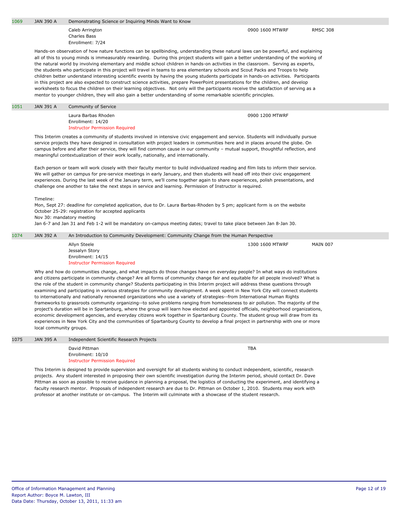1069 JAN 390 A Demonstrating Science or Inquiring Minds Want to Know

Caleb Arrington Charles Bass Enrollment: 7/24

Hands-on observation of how nature functions can be spellbinding, understanding these natural laws can be powerful, and explaining all of this to young minds is immeasurably rewarding. During this project students will gain a better understanding of the working of the natural world by involving elementary and middle school children in hands-on activities in the classroom. Serving as experts, the students who participate in this project will travel in teams to area elementary schools and Scout Packs and Troops to help children better understand interesting scientific events by having the young students participate in hands-on activities. Participants in this project are also expected to construct science activities, prepare PowerPoint presentations for the children, and develop worksheets to focus the children on their learning objectives. Not only will the participants receive the satisfaction of serving as a mentor to younger children, they will also gain a better understanding of some remarkable scientific principles.

## 1051 JAN 391 A Community of Service

Laura Barbas Rhoden Enrollment: 14/20 Instructor Permission Required

0900 1200 MTWRF

This Interim creates a community of students involved in intensive civic engagement and service. Students will individually pursue service projects they have designed in consultation with project leaders in communities here and in places around the globe. On campus before and after their service, they will find common cause in our community – mutual support, thoughtful reflection, and meaningful contextualization of their work locally, nationally, and internationally.

Each person or team will work closely with their faculty mentor to build individualized reading and film lists to inform their service. We will gather on campus for pre-service meetings in early January, and then students will head off into their civic engagement experiences. During the last week of the January term, we'll come together again to share experiences, polish presentations, and challenge one another to take the next steps in service and learning. Permission of Instructor is required.

Timeline:

Mon, Sept 27: deadline for completed application, due to Dr. Laura Barbas-Rhoden by 5 pm; applicant form is on the website October 25-29: registration for accepted applicants

Nov 30: mandatory meeting

Jan 6-7 and Jan 31 and Feb 1-2 will be mandatory on-campus meeting dates; travel to take place between Jan 8-Jan 30.

### 1074 JAN 392 A An Introduction to Community Development: Community Change from the Human Perspective

| Allyn Steele                          | 1300 1600 MTWRF | MAIN 007 |
|---------------------------------------|-----------------|----------|
| Jessalyn Story                        |                 |          |
| Enrollment: 14/15                     |                 |          |
| <b>Instructor Permission Required</b> |                 |          |

Why and how do communities change, and what impacts do those changes have on everyday people? In what ways do institutions and citizens participate in community change? Are all forms of community change fair and equitable for all people involved? What is the role of the student in community change? Students participating in this Interim project will address these questions through examining and participating in various strategies for community development. A week spent in New York City will connect students to internationally and nationally renowned organizations who use a variety of strategies--from International Human Rights frameworks to grassroots community organizing--to solve problems ranging from homelessness to air pollution. The majority of the project's duration will be in Spartanburg, where the group will learn how elected and appointed officials, neighborhood organizations, economic development agencies, and everyday citizens work together in Spartanburg County. The student group will draw from its experiences in New York City and the communities of Spartanburg County to develop a final project in partnership with one or more local community groups.

| 1075 | JAN 395 A | Independent Scientific Research Projects |            |
|------|-----------|------------------------------------------|------------|
|      |           | David Pittman                            | <b>TBA</b> |
|      |           | Enrollment: 10/10                        |            |
|      |           | <b>Instructor Permission Required</b>    |            |

This Interim is designed to provide supervision and oversight for all students wishing to conduct independent, scientific, research projects. Any student interested in proposing their own scientific investigation during the Interim period, should contact Dr. Dave Pittman as soon as possible to receive guidance in planning a proposal, the logistics of conducting the experiment, and identifying a faculty research mentor. Proposals of independent research are due to Dr. Pittman on October 1, 2010. Students may work with professor at another institute or on-campus. The Interim will culminate with a showcase of the student research.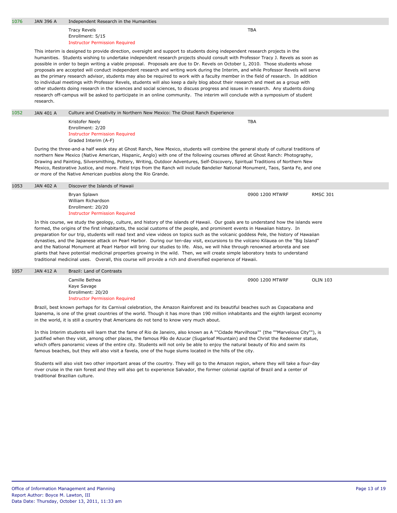| 1076                                                                                                                                                                                                                                                                                                                                                                                                                                                                                                                                                                                                                                                                                                                                                                                                                                                                                                                                                                                                                                                                                                   | <b>JAN 396 A</b>                                                                                                                                                                                                                                                                                                                                                                                                                                                                                                                                                                                                                                                                                                                                                                                                                                                                                                                          | Independent Research in the Humanities                                                               |                 |                 |
|--------------------------------------------------------------------------------------------------------------------------------------------------------------------------------------------------------------------------------------------------------------------------------------------------------------------------------------------------------------------------------------------------------------------------------------------------------------------------------------------------------------------------------------------------------------------------------------------------------------------------------------------------------------------------------------------------------------------------------------------------------------------------------------------------------------------------------------------------------------------------------------------------------------------------------------------------------------------------------------------------------------------------------------------------------------------------------------------------------|-------------------------------------------------------------------------------------------------------------------------------------------------------------------------------------------------------------------------------------------------------------------------------------------------------------------------------------------------------------------------------------------------------------------------------------------------------------------------------------------------------------------------------------------------------------------------------------------------------------------------------------------------------------------------------------------------------------------------------------------------------------------------------------------------------------------------------------------------------------------------------------------------------------------------------------------|------------------------------------------------------------------------------------------------------|-----------------|-----------------|
|                                                                                                                                                                                                                                                                                                                                                                                                                                                                                                                                                                                                                                                                                                                                                                                                                                                                                                                                                                                                                                                                                                        |                                                                                                                                                                                                                                                                                                                                                                                                                                                                                                                                                                                                                                                                                                                                                                                                                                                                                                                                           | <b>Tracy Revels</b><br>Enrollment: 5/15<br><b>Instructor Permission Required</b>                     | <b>TBA</b>      |                 |
| This interim is designed to provide direction, oversight and support to students doing independent research projects in the<br>humanities. Students wishing to undertake independent research projects should consult with Professor Tracy J. Revels as soon as<br>possible in order to begin writing a viable proposal. Proposals are due to Dr. Revels on October 1, 2010. Those students whose<br>proposals are accepted will conduct independent research and writing work during the Interim, and while Professor Revels will serve<br>as the primary research advisor, students may also be required to work with a faculty member in the field of research. In addition<br>to individual meetings with Professor Revels, students will also keep a daily blog about their research and meet as a group with<br>other students doing research in the sciences and social sciences, to discuss progress and issues in research. Any students doing<br>research off-campus will be asked to participate in an online community. The interim will conclude with a symposium of student<br>research. |                                                                                                                                                                                                                                                                                                                                                                                                                                                                                                                                                                                                                                                                                                                                                                                                                                                                                                                                           |                                                                                                      |                 |                 |
| 1052                                                                                                                                                                                                                                                                                                                                                                                                                                                                                                                                                                                                                                                                                                                                                                                                                                                                                                                                                                                                                                                                                                   | <b>JAN 401 A</b>                                                                                                                                                                                                                                                                                                                                                                                                                                                                                                                                                                                                                                                                                                                                                                                                                                                                                                                          | Culture and Creativity in Northern New Mexico: The Ghost Ranch Experience                            |                 |                 |
|                                                                                                                                                                                                                                                                                                                                                                                                                                                                                                                                                                                                                                                                                                                                                                                                                                                                                                                                                                                                                                                                                                        |                                                                                                                                                                                                                                                                                                                                                                                                                                                                                                                                                                                                                                                                                                                                                                                                                                                                                                                                           | Kristofer Neely<br>Enrollment: 2/20<br><b>Instructor Permission Required</b><br>Graded Interim (A-F) | <b>TBA</b>      |                 |
| During the three-and-a half week stay at Ghost Ranch, New Mexico, students will combine the general study of cultural traditions of<br>northern New Mexico (Native American, Hispanic, Anglo) with one of the following courses offered at Ghost Ranch: Photography,<br>Drawing and Painting, Silversmithing, Pottery, Writing, Outdoor Adventures, Self-Discovery, Spiritual Traditions of Northern New<br>Mexico, Restorative Justice, and more. Field trips from the Ranch will include Bandelier National Monument, Taos, Santa Fe, and one<br>or more of the Native American pueblos along the Rio Grande.                                                                                                                                                                                                                                                                                                                                                                                                                                                                                        |                                                                                                                                                                                                                                                                                                                                                                                                                                                                                                                                                                                                                                                                                                                                                                                                                                                                                                                                           |                                                                                                      |                 |                 |
| 1053                                                                                                                                                                                                                                                                                                                                                                                                                                                                                                                                                                                                                                                                                                                                                                                                                                                                                                                                                                                                                                                                                                   | <b>JAN 402 A</b>                                                                                                                                                                                                                                                                                                                                                                                                                                                                                                                                                                                                                                                                                                                                                                                                                                                                                                                          | Discover the Islands of Hawaii                                                                       |                 |                 |
|                                                                                                                                                                                                                                                                                                                                                                                                                                                                                                                                                                                                                                                                                                                                                                                                                                                                                                                                                                                                                                                                                                        |                                                                                                                                                                                                                                                                                                                                                                                                                                                                                                                                                                                                                                                                                                                                                                                                                                                                                                                                           | Bryan Splawn<br>William Richardson<br>Enrollment: 20/20<br><b>Instructor Permission Required</b>     | 0900 1200 MTWRF | <b>RMSC 301</b> |
|                                                                                                                                                                                                                                                                                                                                                                                                                                                                                                                                                                                                                                                                                                                                                                                                                                                                                                                                                                                                                                                                                                        | In this course, we study the geology, culture, and history of the islands of Hawaii. Our goals are to understand how the islands were<br>formed, the origins of the first inhabitants, the social customs of the people, and prominent events in Hawaiian history. In<br>preparation for our trip, students will read text and view videos on topics such as the volcanic goddess Pele, the history of Hawaiian<br>dynasties, and the Japanese attack on Pearl Harbor. During our ten-day visit, excursions to the volcano Kilauea on the "Big Island"<br>and the National Monument at Pearl Harbor will bring our studies to life. Also, we will hike through renowned arboreta and see<br>plants that have potential medicinal properties growing in the wild. Then, we will create simple laboratory tests to understand<br>traditional medicinal uses. Overall, this course will provide a rich and diversified experience of Hawaii. |                                                                                                      |                 |                 |
| 1057                                                                                                                                                                                                                                                                                                                                                                                                                                                                                                                                                                                                                                                                                                                                                                                                                                                                                                                                                                                                                                                                                                   | <b>JAN 412 A</b>                                                                                                                                                                                                                                                                                                                                                                                                                                                                                                                                                                                                                                                                                                                                                                                                                                                                                                                          | Brazil: Land of Contrasts                                                                            |                 |                 |
|                                                                                                                                                                                                                                                                                                                                                                                                                                                                                                                                                                                                                                                                                                                                                                                                                                                                                                                                                                                                                                                                                                        |                                                                                                                                                                                                                                                                                                                                                                                                                                                                                                                                                                                                                                                                                                                                                                                                                                                                                                                                           | Camille Bethea<br>Kaye Savage<br>Enrollment: 20/20<br><b>Instructor Permission Required</b>          | 0900 1200 MTWRF | <b>OLIN 103</b> |

Brazil, best known perhaps for its Carnival celebration, the Amazon Rainforest and its beautiful beaches such as Copacabana and Ipanema, is one of the great countries of the world. Though it has more than 190 million inhabitants and the eighth largest economy in the world, it is still a country that Americans do not tend to know very much about.

In this Interim students will learn that the fame of Rio de Janeiro, also known as A ""Cidade Marvilhosa"" (the ""Marvelous City""), is justified when they visit, among other places, the famous Pão de Azucar (Sugarloaf Mountain) and the Christ the Redeemer statue, which offers panoramic views of the entire city. Students will not only be able to enjoy the natural beauty of Rio and swim its famous beaches, but they will also visit a favela, one of the huge slums located in the hills of the city.

Students will also visit two other important areas of the country. They will go to the Amazon region, where they will take a four-day river cruise in the rain forest and they will also get to experience Salvador, the former colonial capital of Brazil and a center of traditional Brazilian culture.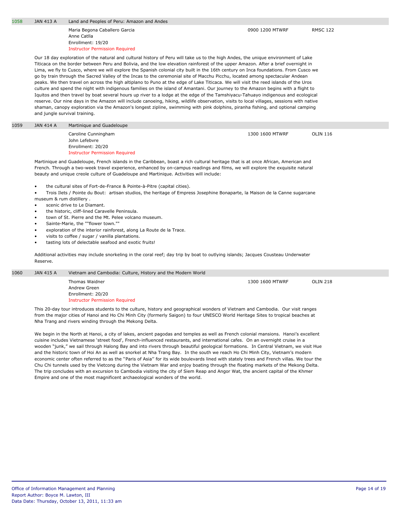Maria Begona Caballero Garcia Anne Catlla Enrollment: 19/20 Instructor Permission Required

Our 18 day exploration of the natural and cultural history of Peru will take us to the high Andes, the unique environment of Lake Titicaca on the border between Peru and Bolivia, and the low elevation rainforest of the upper Amazon. After a brief overnight in Lima, we fly to Cusco, where we will explore the Spanish colonial city built in the 16th century on Inca foundations. From Cusco we go by train through the Sacred Valley of the Incas to the ceremonial site of Macchu Picchu, located among spectacular Andean peaks. We then travel on across the high altiplano to Puno at the edge of Lake Titicaca. We will visit the reed islands of the Uros culture and spend the night with indigenous families on the island of Amantani. Our journey to the Amazon begins with a flight to Iquitos and then travel by boat several hours up river to a lodge at the edge of the Tamshiyacu-Tahuayo indigenous and ecological reserve. Our nine days in the Amazon will include canoeing, hiking, wildlife observation, visits to local villages, sessions with native shaman, canopy exploration via the Amazon's longest zipline, swimming with pink dolphins, piranha fishing, and optional camping and jungle survival training.

#### 1059 JAN 414 A Martinique and Guadeloupe

Caroline Cunningham John Lefebvre Enrollment: 20/20 Instructor Permission Required 1300 1600 MTWRF OLIN 116

Martinique and Guadeloupe, French islands in the Caribbean, boast a rich cultural heritage that is at once African, American and French. Through a two-week travel experience, enhanced by on-campus readings and films, we will explore the exquisite natural beauty and unique creole culture of Guadeloupe and Martinique. Activities will include:

• the cultural sites of Fort-de-France & Pointe-à-Pitre (capital cities).

• Trois Ilets / Pointe du Bout: artisan studios, the heritage of Empress Josephine Bonaparte, la Maison de la Canne sugarcane museum & rum distillery .

- scenic drive to Le Diamant.
- the historic, cliff-lined Caravelle Peninsula.
- town of St. Pierre and the Mt. Pelee volcano museum.
- Sainte-Marie, the ""flower town.""
- exploration of the interior rainforest, along La Route de la Trace.
- visits to coffee / sugar / vanilla plantations.
- tasting lots of delectable seafood and exotic fruits!

Additional activities may include snorkeling in the coral reef; day trip by boat to outlying islands; Jacques Cousteau Underwater Reserve.

| 1060 | JAN 415 A | Vietnam and Cambodia: Culture, History and the Modern World |                 |                 |
|------|-----------|-------------------------------------------------------------|-----------------|-----------------|
|      |           | Thomas Waidner                                              | 1300 1600 MTWRF | <b>OLIN 218</b> |
|      |           | Andrew Green                                                |                 |                 |
|      |           | Enrollment: 20/20                                           |                 |                 |
|      |           | <b>Instructor Permission Required</b>                       |                 |                 |
|      |           |                                                             |                 |                 |

This 20-day tour introduces students to the culture, history and geographical wonders of Vietnam and Cambodia. Our visit ranges from the major cities of Hanoi and Ho Chi Minh City (formerly Saigon) to four UNESCO World Heritage Sites to tropical beaches at Nha Trang and rivers winding through the Mekong Delta.

We begin in the North at Hanoi, a city of lakes, ancient pagodas and temples as well as French colonial mansions. Hanoi's excellent cuisine includes Vietnamese 'street food', French-influenced restaurants, and international cafes. On an overnight cruise in a wooden "junk," we sail through Halong Bay and into rivers through beautiful geological formations. In Central Vietnam, we visit Hue and the historic town of Hoi An as well as snorkel at Nha Trang Bay. In the south we reach Ho Chi Minh City, Vietnam's modern economic center often referred to as the ''Paris of Asia'' for its wide boulevards lined with stately trees and French villas. We tour the Chu Chi tunnels used by the Vietcong during the Vietnam War and enjoy boating through the floating markets of the Mekong Delta. The trip concludes with an excursion to Cambodia visiting the city of Siem Reap and Angor Wat, the ancient capital of the Khmer Empire and one of the most magnificent archaeological wonders of the world.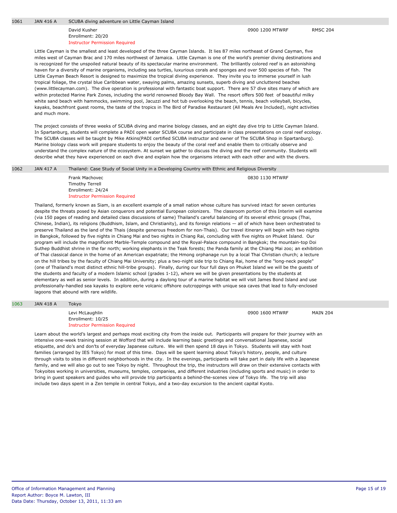#### David Kusher Enrollment: 20/20 Instructor Permission Required

Little Cayman is the smallest and least developed of the three Cayman Islands. It lies 87 miles northeast of Grand Cayman, five miles west of Cayman Brac and 170 miles northwest of Jamaica. Little Cayman is one of the world's premier diving destinations and is recognized for the unspoiled natural beauty of its spectacular marine environment. The brilliantly colored reef is an astonishing haven for a diversity of marine organisms, including sea turtles, luxurious corals and sponges and over 500 species of fish. The Little Cayman Beach Resort is designed to maximize the tropical diving experience. They invite you to immerse yourself in lush tropical foliage, the crystal blue Caribbean water, swaying palms, amazing sunsets, superb diving and uncluttered beaches (www.littlecayman.com). The dive operation is professional with fantastic boat support. There are 57 dive sites many of which are within protected Marine Park Zones, including the world renowned Bloody Bay Wall. The resort offers 500 feet of beautiful milky white sand beach with hammocks, swimming pool, Jacuzzi and hot tub overlooking the beach, tennis, beach volleyball, bicycles, kayaks, beachfront guest rooms, the taste of the tropics in The Bird of Paradise Restaurant (All Meals Are Included), night activities and much more.

The project consists of three weeks of SCUBA diving and marine biology classes, and an eight day dive trip to Little Cayman Island. In Spartanburg, students will complete a PADI open water SCUBA course and participate in class presentations on coral reef ecology. The SCUBA classes will be taught by Mike Atkins(PADI certified SCUBA instructor and owner of The SCUBA Shop in Spartanburg). Marine biology class work will prepare students to enjoy the beauty of the coral reef and enable them to critically observe and understand the complex nature of the ecosystem. At sunset we gather to discuss the diving and the reef community. Students will describe what they have experienced on each dive and explain how the organisms interact with each other and with the divers.

| 1062 | <b>JAN 417 A</b> | Thailand: Case Study of Social Unity in a Developing Country with Ethnic and Religious Diversity       |                 |  |
|------|------------------|--------------------------------------------------------------------------------------------------------|-----------------|--|
|      |                  | Frank Machovec<br><b>Timothy Terrell</b><br>Enrollment: 24/24<br><b>Instructor Permission Required</b> | 0830 1130 MTWRF |  |
|      |                  | ____                                                                                                   | .               |  |

Thailand, formerly known as Siam, is an excellent example of a small nation whose culture has survived intact for seven centuries despite the threats posed by Asian conquerors and potential European colonizers. The classroom portion of this Interim will examine (via 150 pages of reading and detailed class discussions of same) Thailand's careful balancing of its several ethnic groups (Thai, Chinese, Indian), its religions (Buddhism, Islam, and Christianity), and its foreign relations — all of which have been orchestrated to preserve Thailand as the land of the Thais (despite generous freedom for non-Thais). Our travel itinerary will begin with two nights in Bangkok, followed by five nights in Chiang Mai and two nights in Chiang Rai, concluding with five nights on Phuket Island. Our program will include the magnificent Marble-Temple compound and the Royal-Palace compound in Bangkok; the mountain-top Doi Suthep Buddhist shrine in the far north; working elephants in the Teak forests; the Panda family at the Chiang Mai zoo; an exhibition of Thai classical dance in the home of an American expatriate; the Hmong orphanage run by a local Thai Christian church; a lecture on the hill tribes by the faculty of Chiang Mai University; plus a two-night side trip to Chiang Rai, home of the "long-neck people" (one of Thailand's most distinct ethnic hill-tribe groups). Finally, during our four full days on Phuket Island we will be the guests of the students and faculty of a modern Islamic school (grades 1-12), where we will be given presentations by the students at elementary as well as senior levels. In addition, during a daylong tour of a marine habitat we will visit James Bond Island and use professionally-handled sea kayaks to explore eerie volcanic offshore outcroppings with unique sea caves that lead to fully-enclosed lagoons that abound with rare wildlife.

#### 1063 JAN 418 A Tokyo

| Levi McLaughlin                       | 0900 1600 MTWRF | <b>MAIN 204</b> |
|---------------------------------------|-----------------|-----------------|
| Enrollment: 10/25                     |                 |                 |
| <b>Instructor Permission Required</b> |                 |                 |

Learn about the world's largest and perhaps most exciting city from the inside out. Participants will prepare for their journey with an intensive one-week training session at Wofford that will include learning basic greetings and conversational Japanese, social etiquette, and do's and don'ts of everyday Japanese culture. We will then spend 18 days in Tokyo. Students will stay with host families (arranged by IES Tokyo) for most of this time. Days will be spent learning about Tokyo's history, people, and culture through visits to sites in different neighborhoods in the city. In the evenings, participants will take part in daily life with a Japanese family, and we will also go out to see Tokyo by night. Throughout the trip, the instructors will draw on their extensive contacts with Tokyoites working in universities, museums, temples, companies, and different industries (including sports and music) in order to bring in guest speakers and guides who will provide trip participants a behind-the-scenes view of Tokyo life. The trip will also include two days spent in a Zen temple in central Tokyo, and a two-day excursion to the ancient capital Kyoto.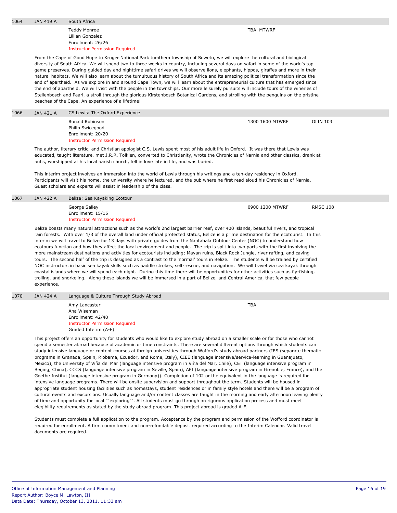| 1064 | JAN 419 A | South Africa |
|------|-----------|--------------|
|      |           |              |

Teddy Monroe Lillian Gonzalez Enrollment: 26/26 Instructor Permission Required TBA MTWRF

TBA

From the Cape of Good Hope to Kruger National Park tomthem township of Soweto, we will explore the cultural and biological diversity of South Africa. We will spend two to three weeks in country, including several days on safari in some of the world's top game preserves. During guided day and nighttime safari drives we will observe lions, elephants, hippos, giraffes and more in their natural habitats. We will also learn about the tumultuous history of South Africa and its amazing political transformation since the end of apartheid. As we explore in and around Cape Town, we will learn about the entrepreneurial culture that has emerged since the end of apartheid. We will visit with the people in the townships. Our more leisurely pursuits will include tours of the wineries of Stellenbosch and Paarl, a stroll through the glorious Kirstenbosch Botanical Gardens, and strplling with the penguins on the pristine beaches of the Cape. An experience of a lifetime!

| 1066 | JAN 421 A | CS Lewis: The Oxford Experience                                                                                                      |                 |          |
|------|-----------|--------------------------------------------------------------------------------------------------------------------------------------|-----------------|----------|
|      |           | Ronald Robinson<br>Philip Swicegood                                                                                                  | 1300 1600 MTWRF | OLIN 103 |
|      |           | Enrollment: 20/20                                                                                                                    |                 |          |
|      |           | <b>Instructor Permission Required</b>                                                                                                |                 |          |
|      |           | The subhant literary suiting and Christian anglesiat C.C. Louis speak meat of his adult life in Oufand. It was though that Louis was |                 |          |

The author, literary critic, and Christian apologist C.S. Lewis spent most of his adult life in Oxford. It was there that Lewis was educated, taught literature, met J.R.R. Tolkien, converted to Christianity, wrote the Chronicles of Narnia and other classics, drank at pubs, worshipped at his local parish church, fell in love late in life, and was buried.

This interim project involves an immersion into the world of Lewis through his writings and a ten-day residency in Oxford. Participants will visit his home, the university where he lectured, and the pub where he first read aloud his Chronicles of Narnia. Guest scholars and experts will assist in leadership of the class.

| 1067 | <b>JAN 422 A</b> | Belize: Sea Kayaking Ecotour          |                 |                 |
|------|------------------|---------------------------------------|-----------------|-----------------|
|      |                  | George Salley                         | 0900 1200 MTWRF | <b>RMSC 108</b> |
|      |                  | Enrollment: 15/15                     |                 |                 |
|      |                  | <b>Instructor Permission Required</b> |                 |                 |

Belize boasts many natural attractions such as the world's 2nd largest barrier reef, over 400 islands, beautiful rivers, and tropical rain forests. With over 1/3 of the overall land under official protected status, Belize is a prime destination for the ecotourist. In this interim we will travel to Belize for 13 days with private guides from the Nantahala Outdoor Center (NOC) to understand how ecotours function and how they affect the local environment and people. The trip is split into two parts with the first involving the more mainstream destinations and activities for ecotourists including; Mayan ruins, Black Rock Jungle, river rafting, and caving tours. The second half of the trip is designed as a contrast to the 'normal' tours in Belize. The students will be trained by certified NOC instructors in basic sea kayak skills such as paddle strokes, self-rescue, and navigation. We will travel via sea kayak through coastal islands where we will spend each night. During this time there will be opportunities for other activities such as fly-fishing, trolling, and snorkeling. Along these islands we will be immersed in a part of Belize, and Central America, that few people experience.

1070 JAN 424 A Language & Culture Through Study Abroad

Amy Lancaster Ana Wiseman Enrollment: 42/40 Instructor Permission Required Graded Interim (A-F)

This project offers an opportunity for students who would like to explore study abroad on a smaller scale or for those who cannot spend a semester abroad because of academic or time constraints. There are several different options through which students can study intensive language or content courses at foreign universities through Wofford's study abroad partners (IES (separate thematic programs in Granada, Spain, Riobama, Ecuador, and Rome, Italy), CIEE (language intensive/service-learning in Guanajuato, Mexico), the University of Viña del Mar (language intensive program in Viña del Mar, Chile), CET (language intensive program in Beijing, China), CCCS (language intensive program in Seville, Spain), API (language intensive program in Grenoble, France), and the Goethe Institut (language intensive program in Germany)). Completion of 102 or the equivalent in the language is required for intensive language programs. There will be onsite supervision and support throughout the term. Students will be housed in appropriate student housing facilities such as homestays, student residences or in family style hotels and there will be a program of cultural events and excursions. Usually language and/or content classes are taught in the morning and early afternoon leaving plenty of time and opportunity for local ""exploring"". All students must go through an rigurous application process and must meet elegibility requirements as stated by the study abroad program. This project abroad is graded A-F.

Students must complete a full application to the program. Acceptance by the program and permission of the Wofford coordinator is required for enrollment. A firm commitment and non-refundable deposit required according to the Interim Calendar. Valid travel documents are required.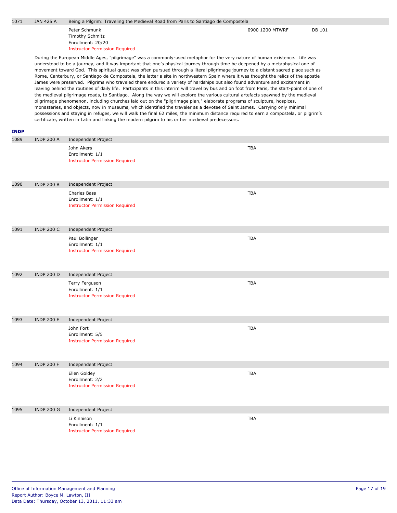| 1071                | <b>JAN 425 A</b>  | Being a Pilgrim: Traveling the Medieval Road from Paris to Santiago de Compostela                                                                                                                                                                                                                                                                                                                                                                                                         |                                                                                                                                                                                                                                                                                                                                                                                                                                                                                                                                                                                                                                                                                                                                                                                                                                                                                                                                                                         |        |  |
|---------------------|-------------------|-------------------------------------------------------------------------------------------------------------------------------------------------------------------------------------------------------------------------------------------------------------------------------------------------------------------------------------------------------------------------------------------------------------------------------------------------------------------------------------------|-------------------------------------------------------------------------------------------------------------------------------------------------------------------------------------------------------------------------------------------------------------------------------------------------------------------------------------------------------------------------------------------------------------------------------------------------------------------------------------------------------------------------------------------------------------------------------------------------------------------------------------------------------------------------------------------------------------------------------------------------------------------------------------------------------------------------------------------------------------------------------------------------------------------------------------------------------------------------|--------|--|
|                     |                   | Peter Schmunk<br><b>Timothy Schmitz</b><br>Enrollment: 20/20<br><b>Instructor Permission Required</b>                                                                                                                                                                                                                                                                                                                                                                                     | 0900 1200 MTWRF                                                                                                                                                                                                                                                                                                                                                                                                                                                                                                                                                                                                                                                                                                                                                                                                                                                                                                                                                         | DB 101 |  |
|                     |                   | James were preserved. Pilgrims who traveled there endured a variety of hardships but also found adventure and excitement in<br>pilgrimage phenomenon, including churches laid out on the "pilgrimage plan," elaborate programs of sculpture, hospices,<br>monasteries, and objects, now in museums, which identified the traveler as a devotee of Saint James. Carrying only minimal<br>certificate, written in Latin and linking the modern pilgrim to his or her medieval predecessors. | During the European Middle Ages, "pilgrimage" was a commonly-used metaphor for the very nature of human existence. Life was<br>understood to be a journey, and it was important that one's physical journey through time be deepened by a metaphysical one of<br>movement toward God. This spiritual quest was often pursued through a literal pilgrimage journey to a distant sacred place such as<br>Rome, Canterbury, or Santiago de Compostela, the latter a site in northwestern Spain where it was thought the relics of the apostle<br>leaving behind the routines of daily life. Participants in this interim will travel by bus and on foot from Paris, the start-point of one of<br>the medieval pilgrimage roads, to Santiago. Along the way we will explore the various cultural artefacts spawned by the medieval<br>possessions and staying in refuges, we will walk the final 62 miles, the minimum distance required to earn a compostela, or pilgrim's |        |  |
| <b>INDP</b><br>1089 | <b>INDP 200 A</b> | Independent Project                                                                                                                                                                                                                                                                                                                                                                                                                                                                       |                                                                                                                                                                                                                                                                                                                                                                                                                                                                                                                                                                                                                                                                                                                                                                                                                                                                                                                                                                         |        |  |
|                     |                   | John Akers<br>Enrollment: 1/1<br><b>Instructor Permission Required</b>                                                                                                                                                                                                                                                                                                                                                                                                                    | <b>TBA</b>                                                                                                                                                                                                                                                                                                                                                                                                                                                                                                                                                                                                                                                                                                                                                                                                                                                                                                                                                              |        |  |
| 1090                | <b>INDP 200 B</b> | Independent Project                                                                                                                                                                                                                                                                                                                                                                                                                                                                       |                                                                                                                                                                                                                                                                                                                                                                                                                                                                                                                                                                                                                                                                                                                                                                                                                                                                                                                                                                         |        |  |
|                     |                   | Charles Bass<br>Enrollment: 1/1<br><b>Instructor Permission Required</b>                                                                                                                                                                                                                                                                                                                                                                                                                  | <b>TBA</b>                                                                                                                                                                                                                                                                                                                                                                                                                                                                                                                                                                                                                                                                                                                                                                                                                                                                                                                                                              |        |  |
| 1091                | <b>INDP 200 C</b> | Independent Project                                                                                                                                                                                                                                                                                                                                                                                                                                                                       |                                                                                                                                                                                                                                                                                                                                                                                                                                                                                                                                                                                                                                                                                                                                                                                                                                                                                                                                                                         |        |  |
|                     |                   | Paul Bollinger<br>Enrollment: 1/1<br><b>Instructor Permission Required</b>                                                                                                                                                                                                                                                                                                                                                                                                                | <b>TBA</b>                                                                                                                                                                                                                                                                                                                                                                                                                                                                                                                                                                                                                                                                                                                                                                                                                                                                                                                                                              |        |  |
| 1092                | <b>INDP 200 D</b> | Independent Project                                                                                                                                                                                                                                                                                                                                                                                                                                                                       |                                                                                                                                                                                                                                                                                                                                                                                                                                                                                                                                                                                                                                                                                                                                                                                                                                                                                                                                                                         |        |  |
|                     |                   | Terry Ferguson<br>Enrollment: 1/1<br><b>Instructor Permission Required</b>                                                                                                                                                                                                                                                                                                                                                                                                                | <b>TBA</b>                                                                                                                                                                                                                                                                                                                                                                                                                                                                                                                                                                                                                                                                                                                                                                                                                                                                                                                                                              |        |  |
| 1093                | <b>INDP 200 E</b> | <b>Independent Project</b>                                                                                                                                                                                                                                                                                                                                                                                                                                                                |                                                                                                                                                                                                                                                                                                                                                                                                                                                                                                                                                                                                                                                                                                                                                                                                                                                                                                                                                                         |        |  |
|                     |                   | John Fort<br>Enrollment: 5/5<br><b>Instructor Permission Required</b>                                                                                                                                                                                                                                                                                                                                                                                                                     | <b>TBA</b>                                                                                                                                                                                                                                                                                                                                                                                                                                                                                                                                                                                                                                                                                                                                                                                                                                                                                                                                                              |        |  |
| 1094                | <b>INDP 200 F</b> | <b>Independent Project</b>                                                                                                                                                                                                                                                                                                                                                                                                                                                                |                                                                                                                                                                                                                                                                                                                                                                                                                                                                                                                                                                                                                                                                                                                                                                                                                                                                                                                                                                         |        |  |
|                     |                   | Ellen Goldey<br>Enrollment: 2/2<br><b>Instructor Permission Required</b>                                                                                                                                                                                                                                                                                                                                                                                                                  | <b>TBA</b>                                                                                                                                                                                                                                                                                                                                                                                                                                                                                                                                                                                                                                                                                                                                                                                                                                                                                                                                                              |        |  |
| 1095                | <b>INDP 200 G</b> | Independent Project                                                                                                                                                                                                                                                                                                                                                                                                                                                                       |                                                                                                                                                                                                                                                                                                                                                                                                                                                                                                                                                                                                                                                                                                                                                                                                                                                                                                                                                                         |        |  |
|                     |                   | Li Kinnison<br>Enrollment: 1/1<br><b>Instructor Permission Required</b>                                                                                                                                                                                                                                                                                                                                                                                                                   | <b>TBA</b>                                                                                                                                                                                                                                                                                                                                                                                                                                                                                                                                                                                                                                                                                                                                                                                                                                                                                                                                                              |        |  |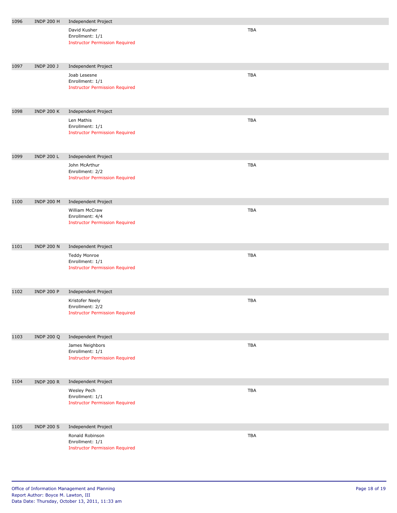| 1096 | <b>INDP 200 H</b> | Independent Project                                                         |            |
|------|-------------------|-----------------------------------------------------------------------------|------------|
|      |                   | David Kusher<br>Enrollment: 1/1<br><b>Instructor Permission Required</b>    | <b>TBA</b> |
| 1097 | <b>INDP 200 J</b> | Independent Project                                                         |            |
|      |                   | Joab Lesesne<br>Enrollment: 1/1<br><b>Instructor Permission Required</b>    | TBA        |
| 1098 | <b>INDP 200 K</b> | Independent Project                                                         |            |
|      |                   | Len Mathis<br>Enrollment: 1/1<br><b>Instructor Permission Required</b>      | TBA        |
| 1099 | <b>INDP 200 L</b> | Independent Project                                                         |            |
|      |                   | John McArthur<br>Enrollment: 2/2<br><b>Instructor Permission Required</b>   | TBA        |
| 1100 | <b>INDP 200 M</b> | Independent Project                                                         |            |
|      |                   | William McCraw<br>Enrollment: 4/4<br><b>Instructor Permission Required</b>  | TBA        |
| 1101 | <b>INDP 200 N</b> | Independent Project                                                         |            |
|      |                   | Teddy Monroe<br>Enrollment: 1/1<br><b>Instructor Permission Required</b>    | <b>TBA</b> |
| 1102 | <b>INDP 200 P</b> | Independent Project                                                         |            |
|      |                   | Kristofer Neely<br>Enrollment: 2/2<br><b>Instructor Permission Required</b> | <b>TBA</b> |
| 1103 | <b>INDP 200 Q</b> | Independent Project                                                         |            |
|      |                   | James Neighbors<br>Enrollment: 1/1<br><b>Instructor Permission Required</b> | <b>TBA</b> |
| 1104 | <b>INDP 200 R</b> | <b>Independent Project</b>                                                  |            |
|      |                   | Wesley Pech<br>Enrollment: 1/1<br><b>Instructor Permission Required</b>     | <b>TBA</b> |
| 1105 | <b>INDP 200 S</b> | Independent Project                                                         |            |
|      |                   | Ronald Robinson<br>Enrollment: 1/1<br><b>Instructor Permission Required</b> | <b>TBA</b> |